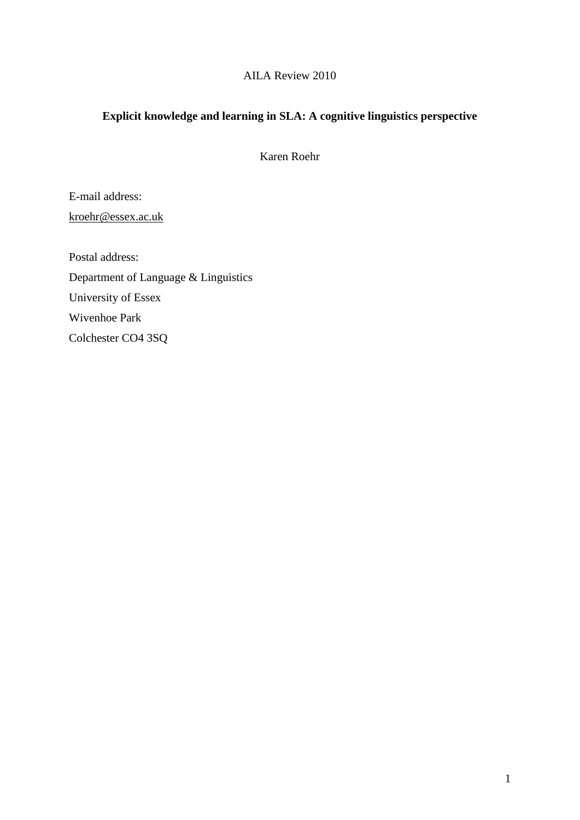## AILA Review 2010

## **Explicit knowledge and learning in SLA: A cognitive linguistics perspective**

Karen Roehr

E-mail address: [kroehr@essex.ac.uk](mailto:kroehr@essex.ac.uk)

Postal address: Department of Language & Linguistics University of Essex Wivenhoe Park Colchester CO4 3SQ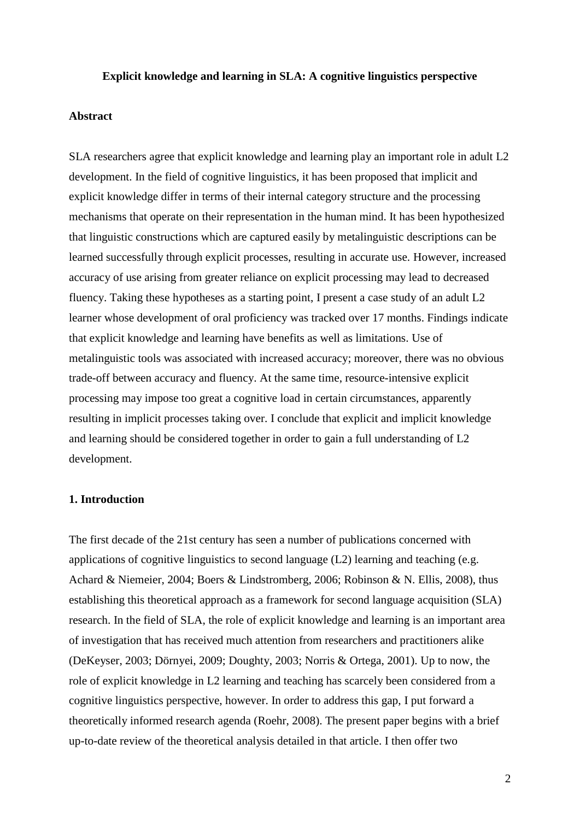#### **Explicit knowledge and learning in SLA: A cognitive linguistics perspective**

## **Abstract**

SLA researchers agree that explicit knowledge and learning play an important role in adult L2 development. In the field of cognitive linguistics, it has been proposed that implicit and explicit knowledge differ in terms of their internal category structure and the processing mechanisms that operate on their representation in the human mind. It has been hypothesized that linguistic constructions which are captured easily by metalinguistic descriptions can be learned successfully through explicit processes, resulting in accurate use. However, increased accuracy of use arising from greater reliance on explicit processing may lead to decreased fluency. Taking these hypotheses as a starting point, I present a case study of an adult L2 learner whose development of oral proficiency was tracked over 17 months. Findings indicate that explicit knowledge and learning have benefits as well as limitations. Use of metalinguistic tools was associated with increased accuracy; moreover, there was no obvious trade-off between accuracy and fluency. At the same time, resource-intensive explicit processing may impose too great a cognitive load in certain circumstances, apparently resulting in implicit processes taking over. I conclude that explicit and implicit knowledge and learning should be considered together in order to gain a full understanding of L2 development.

## **1. Introduction**

The first decade of the 21st century has seen a number of publications concerned with applications of cognitive linguistics to second language (L2) learning and teaching (e.g. Achard & Niemeier, 2004; Boers & Lindstromberg, 2006; Robinson & N. Ellis, 2008), thus establishing this theoretical approach as a framework for second language acquisition (SLA) research. In the field of SLA, the role of explicit knowledge and learning is an important area of investigation that has received much attention from researchers and practitioners alike (DeKeyser, 2003; Dörnyei, 2009; Doughty, 2003; Norris & Ortega, 2001). Up to now, the role of explicit knowledge in L2 learning and teaching has scarcely been considered from a cognitive linguistics perspective, however. In order to address this gap, I put forward a theoretically informed research agenda (Roehr, 2008). The present paper begins with a brief up-to-date review of the theoretical analysis detailed in that article. I then offer two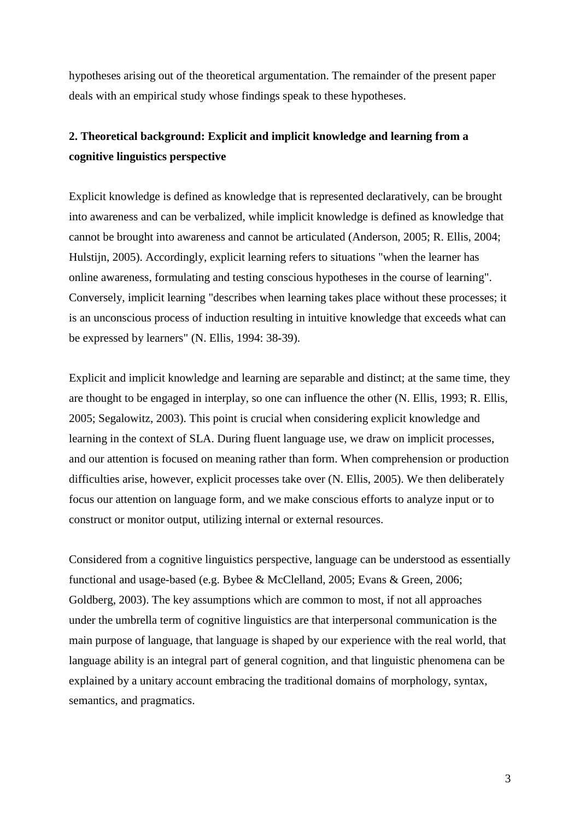hypotheses arising out of the theoretical argumentation. The remainder of the present paper deals with an empirical study whose findings speak to these hypotheses.

## **2. Theoretical background: Explicit and implicit knowledge and learning from a cognitive linguistics perspective**

Explicit knowledge is defined as knowledge that is represented declaratively, can be brought into awareness and can be verbalized, while implicit knowledge is defined as knowledge that cannot be brought into awareness and cannot be articulated (Anderson, 2005; R. Ellis, 2004; Hulstijn, 2005). Accordingly, explicit learning refers to situations "when the learner has online awareness, formulating and testing conscious hypotheses in the course of learning". Conversely, implicit learning "describes when learning takes place without these processes; it is an unconscious process of induction resulting in intuitive knowledge that exceeds what can be expressed by learners" (N. Ellis, 1994: 38-39).

Explicit and implicit knowledge and learning are separable and distinct; at the same time, they are thought to be engaged in interplay, so one can influence the other (N. Ellis, 1993; R. Ellis, 2005; Segalowitz, 2003). This point is crucial when considering explicit knowledge and learning in the context of SLA. During fluent language use, we draw on implicit processes, and our attention is focused on meaning rather than form. When comprehension or production difficulties arise, however, explicit processes take over (N. Ellis, 2005). We then deliberately focus our attention on language form, and we make conscious efforts to analyze input or to construct or monitor output, utilizing internal or external resources.

Considered from a cognitive linguistics perspective, language can be understood as essentially functional and usage-based (e.g. Bybee & McClelland, 2005; Evans & Green, 2006; Goldberg, 2003). The key assumptions which are common to most, if not all approaches under the umbrella term of cognitive linguistics are that interpersonal communication is the main purpose of language, that language is shaped by our experience with the real world, that language ability is an integral part of general cognition, and that linguistic phenomena can be explained by a unitary account embracing the traditional domains of morphology, syntax, semantics, and pragmatics.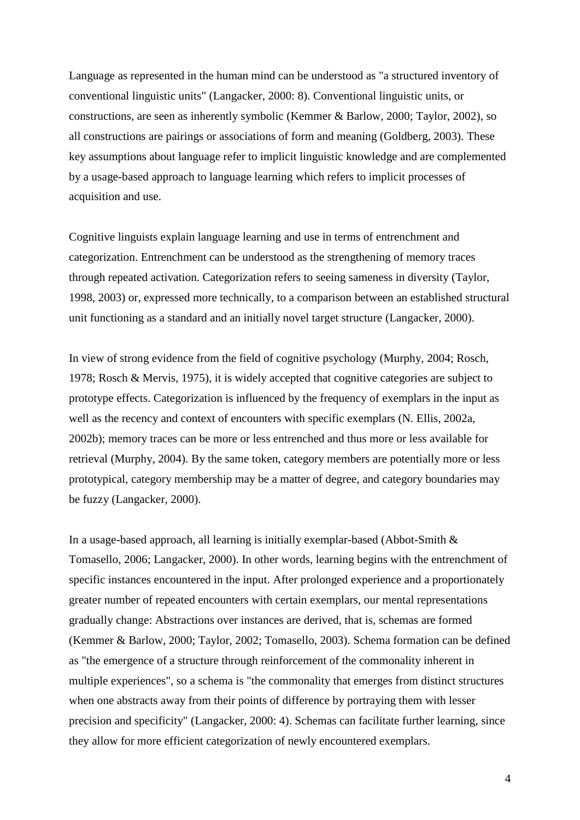Language as represented in the human mind can be understood as "a structured inventory of conventional linguistic units" (Langacker, 2000: 8). Conventional linguistic units, or constructions, are seen as inherently symbolic (Kemmer & Barlow, 2000; Taylor, 2002), so all constructions are pairings or associations of form and meaning (Goldberg, 2003). These key assumptions about language refer to implicit linguistic knowledge and are complemented by a usage-based approach to language learning which refers to implicit processes of acquisition and use.

Cognitive linguists explain language learning and use in terms of entrenchment and categorization. Entrenchment can be understood as the strengthening of memory traces through repeated activation. Categorization refers to seeing sameness in diversity (Taylor, 1998, 2003) or, expressed more technically, to a comparison between an established structural unit functioning as a standard and an initially novel target structure (Langacker, 2000).

In view of strong evidence from the field of cognitive psychology (Murphy, 2004; Rosch, 1978; Rosch & Mervis, 1975), it is widely accepted that cognitive categories are subject to prototype effects. Categorization is influenced by the frequency of exemplars in the input as well as the recency and context of encounters with specific exemplars (N. Ellis, 2002a, 2002b); memory traces can be more or less entrenched and thus more or less available for retrieval (Murphy, 2004). By the same token, category members are potentially more or less prototypical, category membership may be a matter of degree, and category boundaries may be fuzzy (Langacker, 2000).

In a usage-based approach, all learning is initially exemplar-based (Abbot-Smith & Tomasello, 2006; Langacker, 2000). In other words, learning begins with the entrenchment of specific instances encountered in the input. After prolonged experience and a proportionately greater number of repeated encounters with certain exemplars, our mental representations gradually change: Abstractions over instances are derived, that is, schemas are formed (Kemmer & Barlow, 2000; Taylor, 2002; Tomasello, 2003). Schema formation can be defined as "the emergence of a structure through reinforcement of the commonality inherent in multiple experiences", so a schema is "the commonality that emerges from distinct structures when one abstracts away from their points of difference by portraying them with lesser precision and specificity" (Langacker, 2000: 4). Schemas can facilitate further learning, since they allow for more efficient categorization of newly encountered exemplars.

4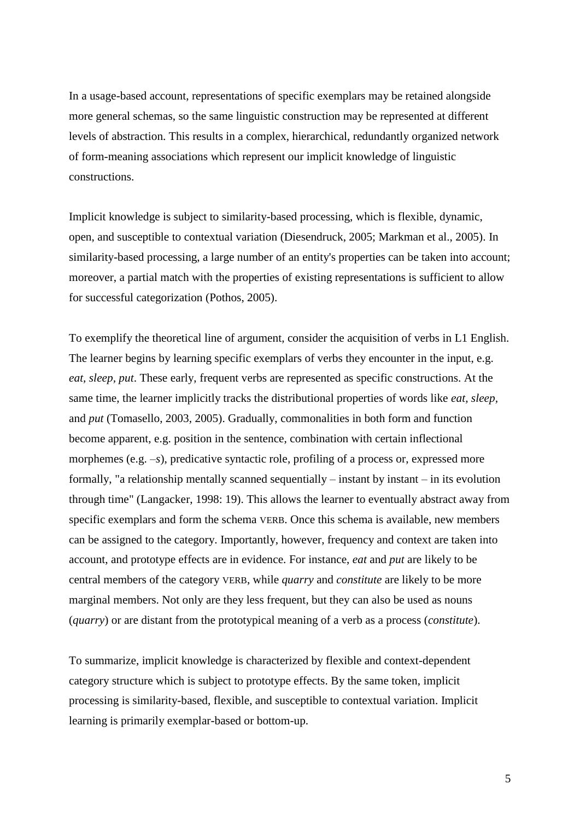In a usage-based account, representations of specific exemplars may be retained alongside more general schemas, so the same linguistic construction may be represented at different levels of abstraction. This results in a complex, hierarchical, redundantly organized network of form-meaning associations which represent our implicit knowledge of linguistic constructions.

Implicit knowledge is subject to similarity-based processing, which is flexible, dynamic, open, and susceptible to contextual variation (Diesendruck, 2005; Markman et al., 2005). In similarity-based processing, a large number of an entity's properties can be taken into account; moreover, a partial match with the properties of existing representations is sufficient to allow for successful categorization (Pothos, 2005).

To exemplify the theoretical line of argument, consider the acquisition of verbs in L1 English. The learner begins by learning specific exemplars of verbs they encounter in the input, e.g. *eat, sleep, put*. These early, frequent verbs are represented as specific constructions. At the same time, the learner implicitly tracks the distributional properties of words like *eat, sleep,* and *put* (Tomasello, 2003, 2005). Gradually, commonalities in both form and function become apparent, e.g. position in the sentence, combination with certain inflectional morphemes (e.g. *–s*), predicative syntactic role, profiling of a process or, expressed more formally, "a relationship mentally scanned sequentially – instant by instant – in its evolution through time" (Langacker, 1998: 19). This allows the learner to eventually abstract away from specific exemplars and form the schema VERB. Once this schema is available, new members can be assigned to the category. Importantly, however, frequency and context are taken into account, and prototype effects are in evidence. For instance, *eat* and *put* are likely to be central members of the category VERB, while *quarry* and *constitute* are likely to be more marginal members. Not only are they less frequent, but they can also be used as nouns (*quarry*) or are distant from the prototypical meaning of a verb as a process (*constitute*).

To summarize, implicit knowledge is characterized by flexible and context-dependent category structure which is subject to prototype effects. By the same token, implicit processing is similarity-based, flexible, and susceptible to contextual variation. Implicit learning is primarily exemplar-based or bottom-up.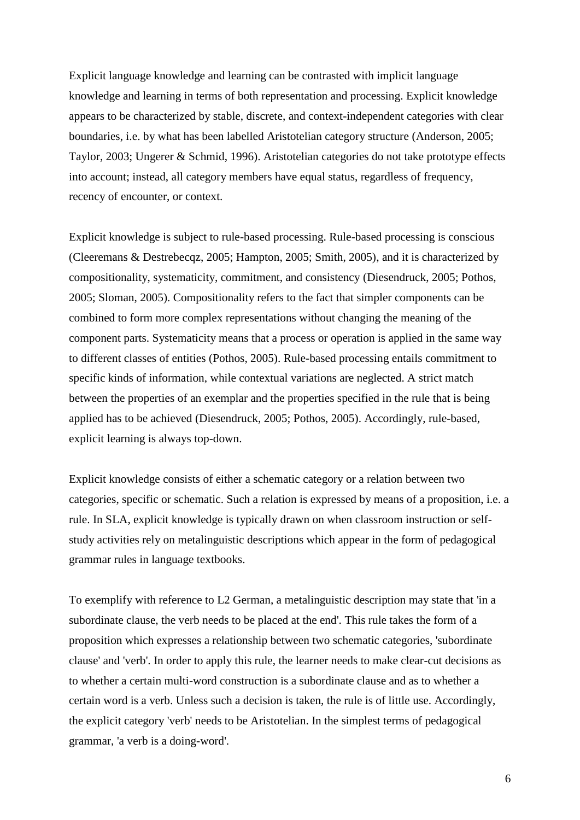Explicit language knowledge and learning can be contrasted with implicit language knowledge and learning in terms of both representation and processing. Explicit knowledge appears to be characterized by stable, discrete, and context-independent categories with clear boundaries, i.e. by what has been labelled Aristotelian category structure (Anderson, 2005; Taylor, 2003; Ungerer & Schmid, 1996). Aristotelian categories do not take prototype effects into account; instead, all category members have equal status, regardless of frequency, recency of encounter, or context.

Explicit knowledge is subject to rule-based processing. Rule-based processing is conscious (Cleeremans & Destrebecqz, 2005; Hampton, 2005; Smith, 2005), and it is characterized by compositionality, systematicity, commitment, and consistency (Diesendruck, 2005; Pothos, 2005; Sloman, 2005). Compositionality refers to the fact that simpler components can be combined to form more complex representations without changing the meaning of the component parts. Systematicity means that a process or operation is applied in the same way to different classes of entities (Pothos, 2005). Rule-based processing entails commitment to specific kinds of information, while contextual variations are neglected. A strict match between the properties of an exemplar and the properties specified in the rule that is being applied has to be achieved (Diesendruck, 2005; Pothos, 2005). Accordingly, rule-based, explicit learning is always top-down.

Explicit knowledge consists of either a schematic category or a relation between two categories, specific or schematic. Such a relation is expressed by means of a proposition, i.e. a rule. In SLA, explicit knowledge is typically drawn on when classroom instruction or selfstudy activities rely on metalinguistic descriptions which appear in the form of pedagogical grammar rules in language textbooks.

To exemplify with reference to L2 German, a metalinguistic description may state that 'in a subordinate clause, the verb needs to be placed at the end'. This rule takes the form of a proposition which expresses a relationship between two schematic categories, 'subordinate clause' and 'verb'. In order to apply this rule, the learner needs to make clear-cut decisions as to whether a certain multi-word construction is a subordinate clause and as to whether a certain word is a verb. Unless such a decision is taken, the rule is of little use. Accordingly, the explicit category 'verb' needs to be Aristotelian. In the simplest terms of pedagogical grammar, 'a verb is a doing-word'.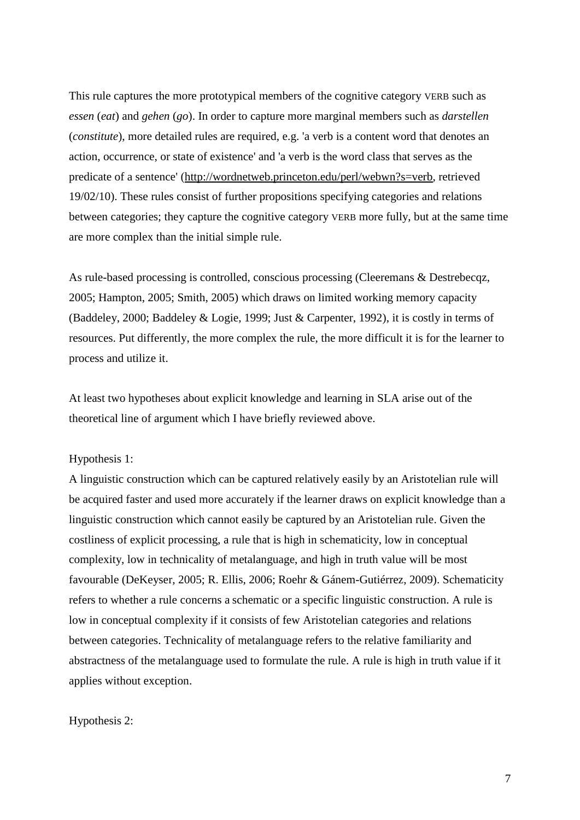This rule captures the more prototypical members of the cognitive category VERB such as *essen* (*eat*) and *gehen* (*go*). In order to capture more marginal members such as *darstellen* (*constitute*), more detailed rules are required, e.g. 'a verb is a content word that denotes an action, occurrence, or state of existence' and 'a verb is the word class that serves as the predicate of a sentence' [\(http://wordnetweb.princeton.edu/perl/webwn?s=verb,](http://wordnetweb.princeton.edu/perl/webwn?s=verb) retrieved 19/02/10). These rules consist of further propositions specifying categories and relations between categories; they capture the cognitive category VERB more fully, but at the same time are more complex than the initial simple rule.

As rule-based processing is controlled, conscious processing (Cleeremans & Destrebecqz, 2005; Hampton, 2005; Smith, 2005) which draws on limited working memory capacity (Baddeley, 2000; Baddeley & Logie, 1999; Just & Carpenter, 1992), it is costly in terms of resources. Put differently, the more complex the rule, the more difficult it is for the learner to process and utilize it.

At least two hypotheses about explicit knowledge and learning in SLA arise out of the theoretical line of argument which I have briefly reviewed above.

#### Hypothesis 1:

A linguistic construction which can be captured relatively easily by an Aristotelian rule will be acquired faster and used more accurately if the learner draws on explicit knowledge than a linguistic construction which cannot easily be captured by an Aristotelian rule. Given the costliness of explicit processing, a rule that is high in schematicity, low in conceptual complexity, low in technicality of metalanguage, and high in truth value will be most favourable (DeKeyser, 2005; R. Ellis, 2006; Roehr & Gánem-Gutiérrez, 2009). Schematicity refers to whether a rule concerns a schematic or a specific linguistic construction. A rule is low in conceptual complexity if it consists of few Aristotelian categories and relations between categories. Technicality of metalanguage refers to the relative familiarity and abstractness of the metalanguage used to formulate the rule. A rule is high in truth value if it applies without exception.

#### Hypothesis 2: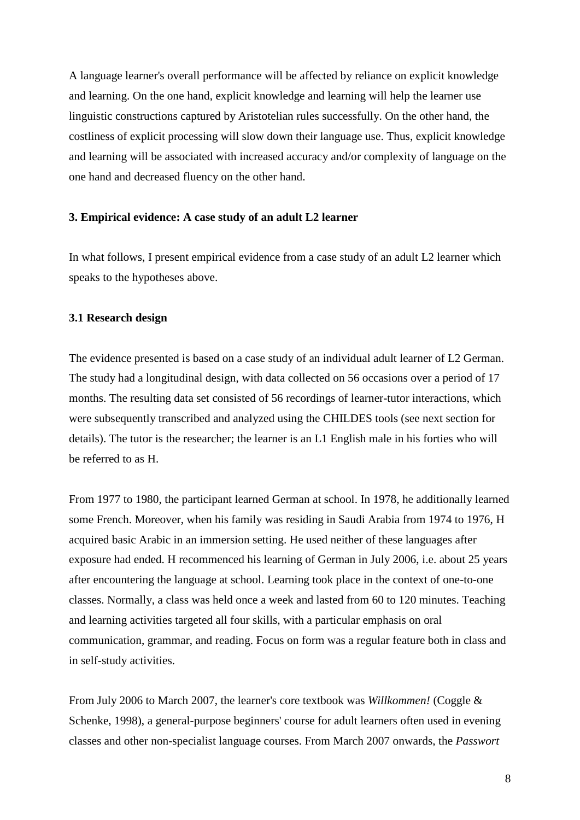A language learner's overall performance will be affected by reliance on explicit knowledge and learning. On the one hand, explicit knowledge and learning will help the learner use linguistic constructions captured by Aristotelian rules successfully. On the other hand, the costliness of explicit processing will slow down their language use. Thus, explicit knowledge and learning will be associated with increased accuracy and/or complexity of language on the one hand and decreased fluency on the other hand.

#### **3. Empirical evidence: A case study of an adult L2 learner**

In what follows, I present empirical evidence from a case study of an adult L2 learner which speaks to the hypotheses above.

#### **3.1 Research design**

The evidence presented is based on a case study of an individual adult learner of L2 German. The study had a longitudinal design, with data collected on 56 occasions over a period of 17 months. The resulting data set consisted of 56 recordings of learner-tutor interactions, which were subsequently transcribed and analyzed using the CHILDES tools (see next section for details). The tutor is the researcher; the learner is an L1 English male in his forties who will be referred to as H.

From 1977 to 1980, the participant learned German at school. In 1978, he additionally learned some French. Moreover, when his family was residing in Saudi Arabia from 1974 to 1976, H acquired basic Arabic in an immersion setting. He used neither of these languages after exposure had ended. H recommenced his learning of German in July 2006, i.e. about 25 years after encountering the language at school. Learning took place in the context of one-to-one classes. Normally, a class was held once a week and lasted from 60 to 120 minutes. Teaching and learning activities targeted all four skills, with a particular emphasis on oral communication, grammar, and reading. Focus on form was a regular feature both in class and in self-study activities.

From July 2006 to March 2007, the learner's core textbook was *Willkommen!* (Coggle & Schenke, 1998), a general-purpose beginners' course for adult learners often used in evening classes and other non-specialist language courses. From March 2007 onwards, the *Passwort*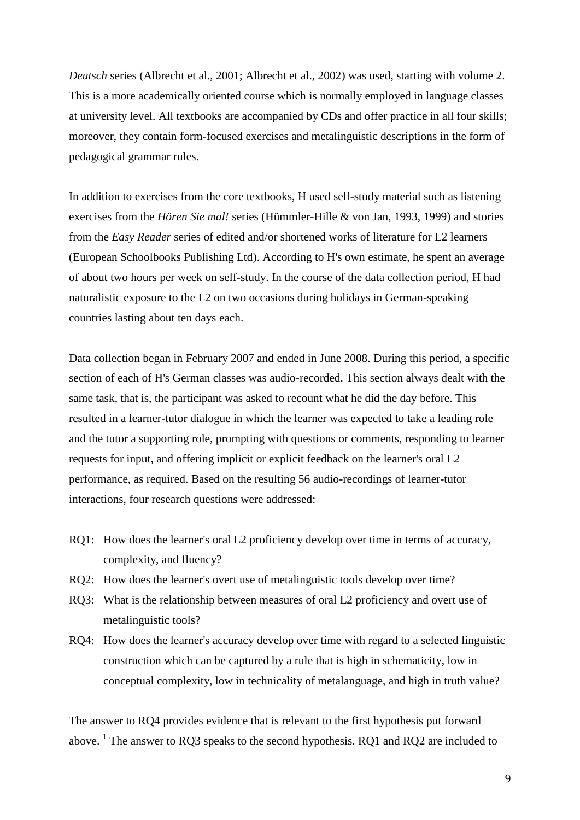*Deutsch* series (Albrecht et al., 2001; Albrecht et al., 2002) was used, starting with volume 2. This is a more academically oriented course which is normally employed in language classes at university level. All textbooks are accompanied by CDs and offer practice in all four skills; moreover, they contain form-focused exercises and metalinguistic descriptions in the form of pedagogical grammar rules.

In addition to exercises from the core textbooks, H used self-study material such as listening exercises from the *Hören Sie mal!* series (Hümmler-Hille & von Jan, 1993, 1999) and stories from the *Easy Reader* series of edited and/or shortened works of literature for L2 learners (European Schoolbooks Publishing Ltd). According to H's own estimate, he spent an average of about two hours per week on self-study. In the course of the data collection period, H had naturalistic exposure to the L2 on two occasions during holidays in German-speaking countries lasting about ten days each.

Data collection began in February 2007 and ended in June 2008. During this period, a specific section of each of H's German classes was audio-recorded. This section always dealt with the same task, that is, the participant was asked to recount what he did the day before. This resulted in a learner-tutor dialogue in which the learner was expected to take a leading role and the tutor a supporting role, prompting with questions or comments, responding to learner requests for input, and offering implicit or explicit feedback on the learner's oral L2 performance, as required. Based on the resulting 56 audio-recordings of learner-tutor interactions, four research questions were addressed:

- RQ1: How does the learner's oral L2 proficiency develop over time in terms of accuracy, complexity, and fluency?
- RQ2: How does the learner's overt use of metalinguistic tools develop over time?
- RQ3: What is the relationship between measures of oral L2 proficiency and overt use of metalinguistic tools?
- RQ4: How does the learner's accuracy develop over time with regard to a selected linguistic construction which can be captured by a rule that is high in schematicity, low in conceptual complexity, low in technicality of metalanguage, and high in truth value?

The answer to RQ4 provides evidence that is relevant to the first hypothesis put forward above. <sup>1</sup> The answer to RQ3 speaks to the second hypothesis. RQ1 and RQ2 are included to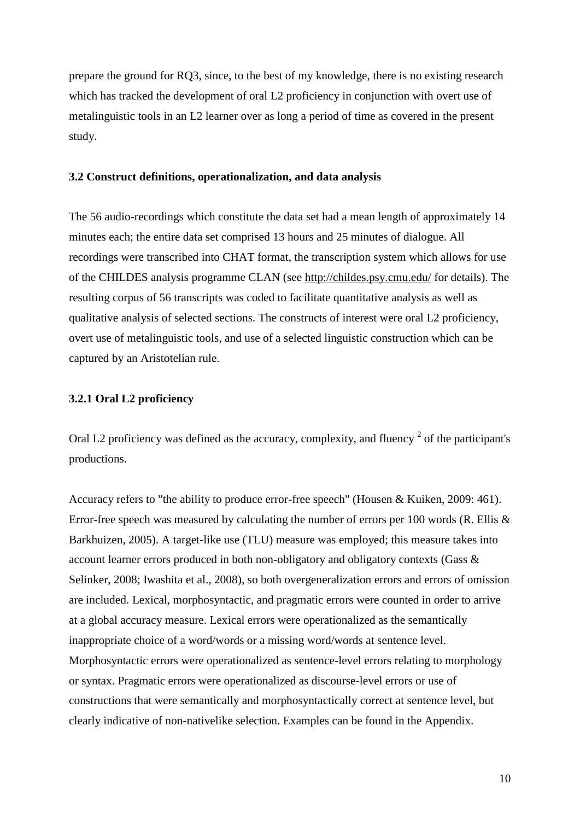prepare the ground for RQ3, since, to the best of my knowledge, there is no existing research which has tracked the development of oral L2 proficiency in conjunction with overt use of metalinguistic tools in an L2 learner over as long a period of time as covered in the present study.

## **3.2 Construct definitions, operationalization, and data analysis**

The 56 audio-recordings which constitute the data set had a mean length of approximately 14 minutes each; the entire data set comprised 13 hours and 25 minutes of dialogue. All recordings were transcribed into CHAT format, the transcription system which allows for use of the CHILDES analysis programme CLAN (see <http://childes.psy.cmu.edu/> for details). The resulting corpus of 56 transcripts was coded to facilitate quantitative analysis as well as qualitative analysis of selected sections. The constructs of interest were oral L2 proficiency, overt use of metalinguistic tools, and use of a selected linguistic construction which can be captured by an Aristotelian rule.

## **3.2.1 Oral L2 proficiency**

Oral L2 proficiency was defined as the accuracy, complexity, and fluency  $2$  of the participant's productions.

Accuracy refers to "the ability to produce error-free speech" (Housen & Kuiken, 2009: 461). Error-free speech was measured by calculating the number of errors per 100 words (R. Ellis & Barkhuizen, 2005). A target-like use (TLU) measure was employed; this measure takes into account learner errors produced in both non-obligatory and obligatory contexts (Gass & Selinker, 2008; Iwashita et al., 2008), so both overgeneralization errors and errors of omission are included. Lexical, morphosyntactic, and pragmatic errors were counted in order to arrive at a global accuracy measure. Lexical errors were operationalized as the semantically inappropriate choice of a word/words or a missing word/words at sentence level. Morphosyntactic errors were operationalized as sentence-level errors relating to morphology or syntax. Pragmatic errors were operationalized as discourse-level errors or use of constructions that were semantically and morphosyntactically correct at sentence level, but clearly indicative of non-nativelike selection. Examples can be found in the Appendix.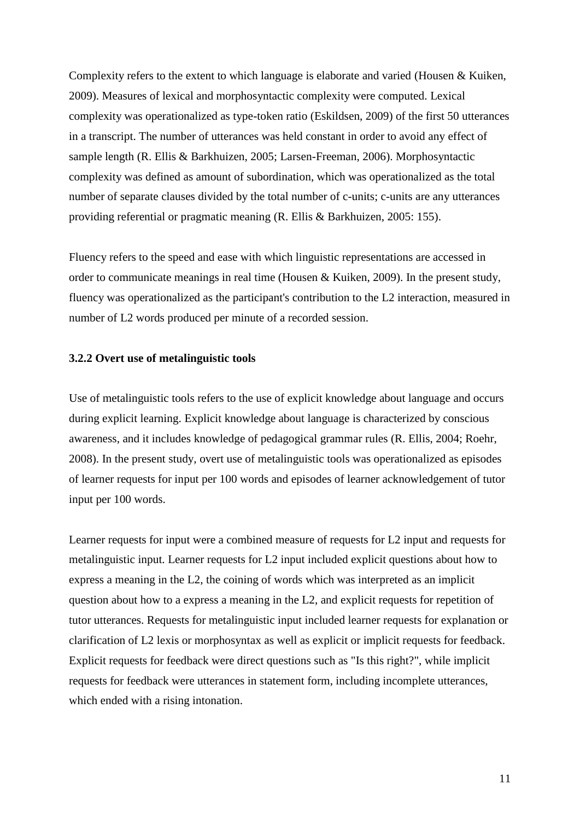Complexity refers to the extent to which language is elaborate and varied (Housen & Kuiken, 2009). Measures of lexical and morphosyntactic complexity were computed. Lexical complexity was operationalized as type-token ratio (Eskildsen, 2009) of the first 50 utterances in a transcript. The number of utterances was held constant in order to avoid any effect of sample length (R. Ellis & Barkhuizen, 2005; Larsen-Freeman, 2006). Morphosyntactic complexity was defined as amount of subordination, which was operationalized as the total number of separate clauses divided by the total number of c-units; c-units are any utterances providing referential or pragmatic meaning (R. Ellis & Barkhuizen, 2005: 155).

Fluency refers to the speed and ease with which linguistic representations are accessed in order to communicate meanings in real time (Housen & Kuiken, 2009). In the present study, fluency was operationalized as the participant's contribution to the L2 interaction, measured in number of L2 words produced per minute of a recorded session.

### **3.2.2 Overt use of metalinguistic tools**

Use of metalinguistic tools refers to the use of explicit knowledge about language and occurs during explicit learning. Explicit knowledge about language is characterized by conscious awareness, and it includes knowledge of pedagogical grammar rules (R. Ellis, 2004; Roehr, 2008). In the present study, overt use of metalinguistic tools was operationalized as episodes of learner requests for input per 100 words and episodes of learner acknowledgement of tutor input per 100 words.

Learner requests for input were a combined measure of requests for L2 input and requests for metalinguistic input. Learner requests for L2 input included explicit questions about how to express a meaning in the L2, the coining of words which was interpreted as an implicit question about how to a express a meaning in the L2, and explicit requests for repetition of tutor utterances. Requests for metalinguistic input included learner requests for explanation or clarification of L2 lexis or morphosyntax as well as explicit or implicit requests for feedback. Explicit requests for feedback were direct questions such as "Is this right?", while implicit requests for feedback were utterances in statement form, including incomplete utterances, which ended with a rising intonation.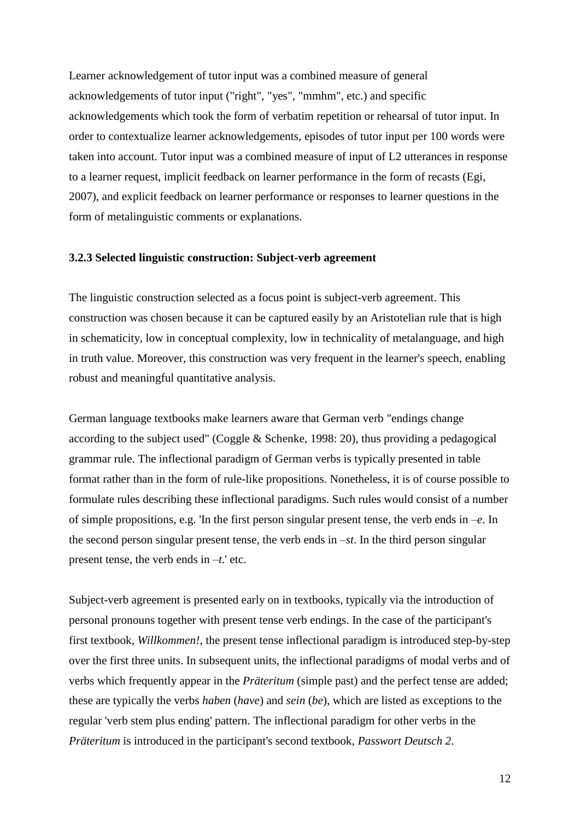Learner acknowledgement of tutor input was a combined measure of general acknowledgements of tutor input ("right", "yes", "mmhm", etc.) and specific acknowledgements which took the form of verbatim repetition or rehearsal of tutor input. In order to contextualize learner acknowledgements, episodes of tutor input per 100 words were taken into account. Tutor input was a combined measure of input of L2 utterances in response to a learner request, implicit feedback on learner performance in the form of recasts (Egi, 2007), and explicit feedback on learner performance or responses to learner questions in the form of metalinguistic comments or explanations.

#### **3.2.3 Selected linguistic construction: Subject-verb agreement**

The linguistic construction selected as a focus point is subject-verb agreement. This construction was chosen because it can be captured easily by an Aristotelian rule that is high in schematicity, low in conceptual complexity, low in technicality of metalanguage, and high in truth value. Moreover, this construction was very frequent in the learner's speech, enabling robust and meaningful quantitative analysis.

German language textbooks make learners aware that German verb "endings change according to the subject used" (Coggle & Schenke, 1998: 20), thus providing a pedagogical grammar rule. The inflectional paradigm of German verbs is typically presented in table format rather than in the form of rule-like propositions. Nonetheless, it is of course possible to formulate rules describing these inflectional paradigms. Such rules would consist of a number of simple propositions, e.g. 'In the first person singular present tense, the verb ends in *–e*. In the second person singular present tense, the verb ends in *–st*. In the third person singular present tense, the verb ends in *–t*.' etc.

Subject-verb agreement is presented early on in textbooks, typically via the introduction of personal pronouns together with present tense verb endings. In the case of the participant's first textbook, *Willkommen!*, the present tense inflectional paradigm is introduced step-by-step over the first three units. In subsequent units, the inflectional paradigms of modal verbs and of verbs which frequently appear in the *Präteritum* (simple past) and the perfect tense are added; these are typically the verbs *haben* (*have*) and *sein* (*be*), which are listed as exceptions to the regular 'verb stem plus ending' pattern. The inflectional paradigm for other verbs in the *Präteritum* is introduced in the participant's second textbook, *Passwort Deutsch 2*.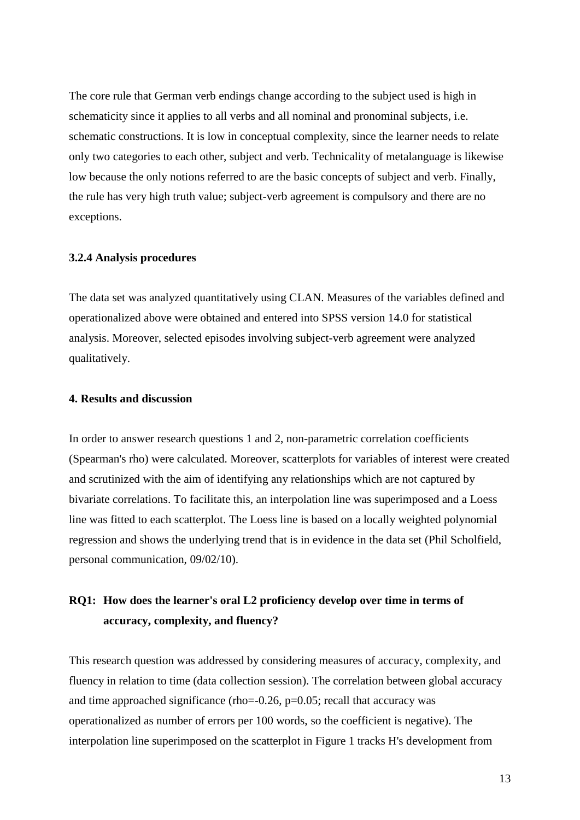The core rule that German verb endings change according to the subject used is high in schematicity since it applies to all verbs and all nominal and pronominal subjects, i.e. schematic constructions. It is low in conceptual complexity, since the learner needs to relate only two categories to each other, subject and verb. Technicality of metalanguage is likewise low because the only notions referred to are the basic concepts of subject and verb. Finally, the rule has very high truth value; subject-verb agreement is compulsory and there are no exceptions.

#### **3.2.4 Analysis procedures**

The data set was analyzed quantitatively using CLAN. Measures of the variables defined and operationalized above were obtained and entered into SPSS version 14.0 for statistical analysis. Moreover, selected episodes involving subject-verb agreement were analyzed qualitatively.

## **4. Results and discussion**

In order to answer research questions 1 and 2, non-parametric correlation coefficients (Spearman's rho) were calculated. Moreover, scatterplots for variables of interest were created and scrutinized with the aim of identifying any relationships which are not captured by bivariate correlations. To facilitate this, an interpolation line was superimposed and a Loess line was fitted to each scatterplot. The Loess line is based on a locally weighted polynomial regression and shows the underlying trend that is in evidence in the data set (Phil Scholfield, personal communication, 09/02/10).

## **RQ1: How does the learner's oral L2 proficiency develop over time in terms of accuracy, complexity, and fluency?**

This research question was addressed by considering measures of accuracy, complexity, and fluency in relation to time (data collection session). The correlation between global accuracy and time approached significance (rho=-0.26, p=0.05; recall that accuracy was operationalized as number of errors per 100 words, so the coefficient is negative). The interpolation line superimposed on the scatterplot in Figure 1 tracks H's development from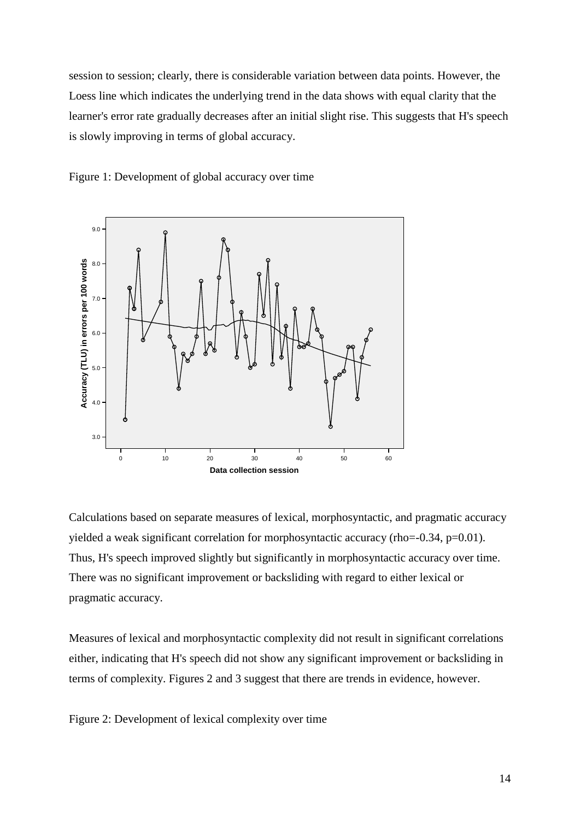session to session; clearly, there is considerable variation between data points. However, the Loess line which indicates the underlying trend in the data shows with equal clarity that the learner's error rate gradually decreases after an initial slight rise. This suggests that H's speech is slowly improving in terms of global accuracy.

Figure 1: Development of global accuracy over time



Calculations based on separate measures of lexical, morphosyntactic, and pragmatic accuracy yielded a weak significant correlation for morphosyntactic accuracy (rho=-0.34, p=0.01). Thus, H's speech improved slightly but significantly in morphosyntactic accuracy over time. There was no significant improvement or backsliding with regard to either lexical or pragmatic accuracy.

Measures of lexical and morphosyntactic complexity did not result in significant correlations either, indicating that H's speech did not show any significant improvement or backsliding in terms of complexity. Figures 2 and 3 suggest that there are trends in evidence, however.

Figure 2: Development of lexical complexity over time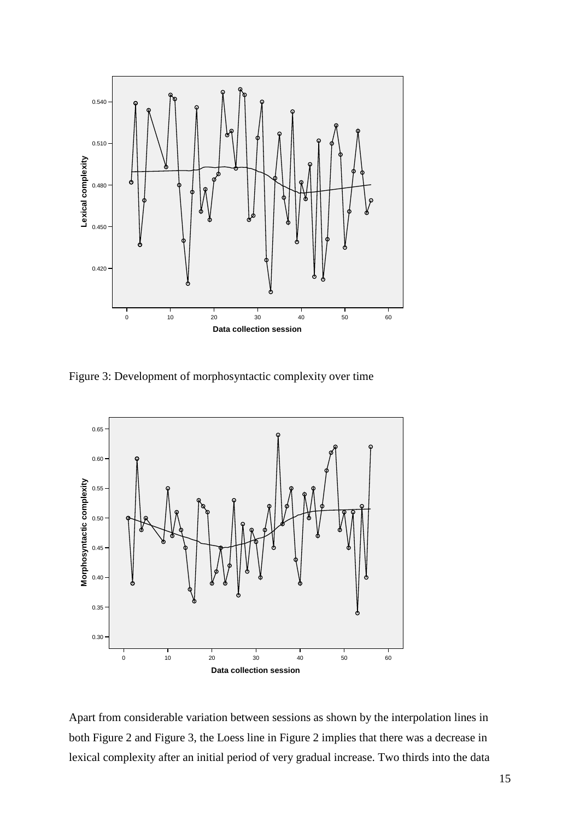

Figure 3: Development of morphosyntactic complexity over time



Apart from considerable variation between sessions as shown by the interpolation lines in both Figure 2 and Figure 3, the Loess line in Figure 2 implies that there was a decrease in lexical complexity after an initial period of very gradual increase. Two thirds into the data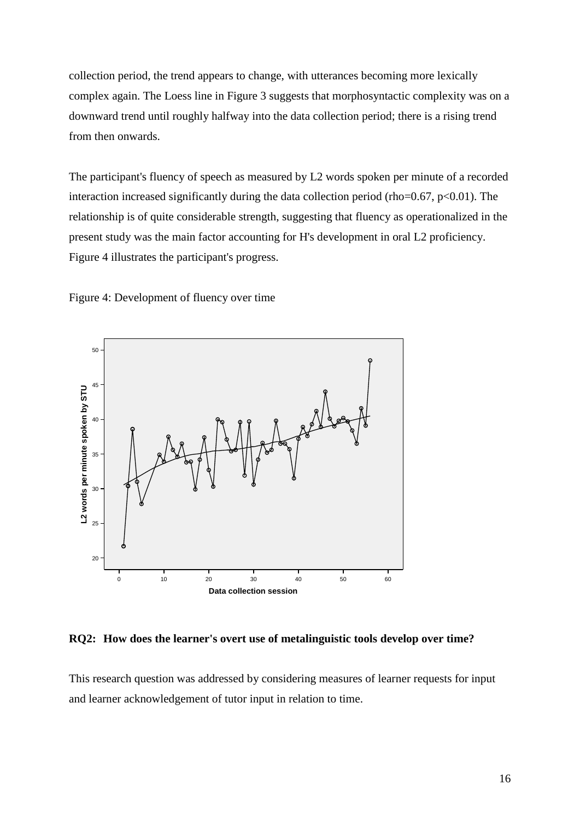collection period, the trend appears to change, with utterances becoming more lexically complex again. The Loess line in Figure 3 suggests that morphosyntactic complexity was on a downward trend until roughly halfway into the data collection period; there is a rising trend from then onwards.

The participant's fluency of speech as measured by L2 words spoken per minute of a recorded interaction increased significantly during the data collection period (rho= $0.67$ , p< $0.01$ ). The relationship is of quite considerable strength, suggesting that fluency as operationalized in the present study was the main factor accounting for H's development in oral L2 proficiency. Figure 4 illustrates the participant's progress.

Figure 4: Development of fluency over time



**RQ2: How does the learner's overt use of metalinguistic tools develop over time?**

This research question was addressed by considering measures of learner requests for input and learner acknowledgement of tutor input in relation to time.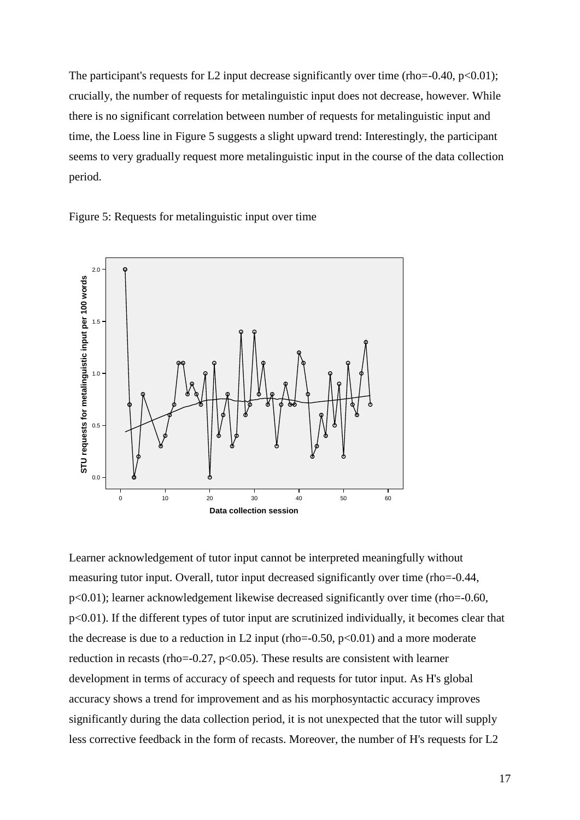The participant's requests for L2 input decrease significantly over time (rho= $-0.40$ , p $<0.01$ ); crucially, the number of requests for metalinguistic input does not decrease, however. While there is no significant correlation between number of requests for metalinguistic input and time, the Loess line in Figure 5 suggests a slight upward trend: Interestingly, the participant seems to very gradually request more metalinguistic input in the course of the data collection period.

Figure 5: Requests for metalinguistic input over time



Learner acknowledgement of tutor input cannot be interpreted meaningfully without measuring tutor input. Overall, tutor input decreased significantly over time (rho=-0.44, p<0.01); learner acknowledgement likewise decreased significantly over time (rho=-0.60, p<0.01). If the different types of tutor input are scrutinized individually, it becomes clear that the decrease is due to a reduction in L2 input (rho= $-0.50$ , p<0.01) and a more moderate reduction in recasts (rho= $-0.27$ , p< $0.05$ ). These results are consistent with learner development in terms of accuracy of speech and requests for tutor input. As H's global accuracy shows a trend for improvement and as his morphosyntactic accuracy improves significantly during the data collection period, it is not unexpected that the tutor will supply less corrective feedback in the form of recasts. Moreover, the number of H's requests for L2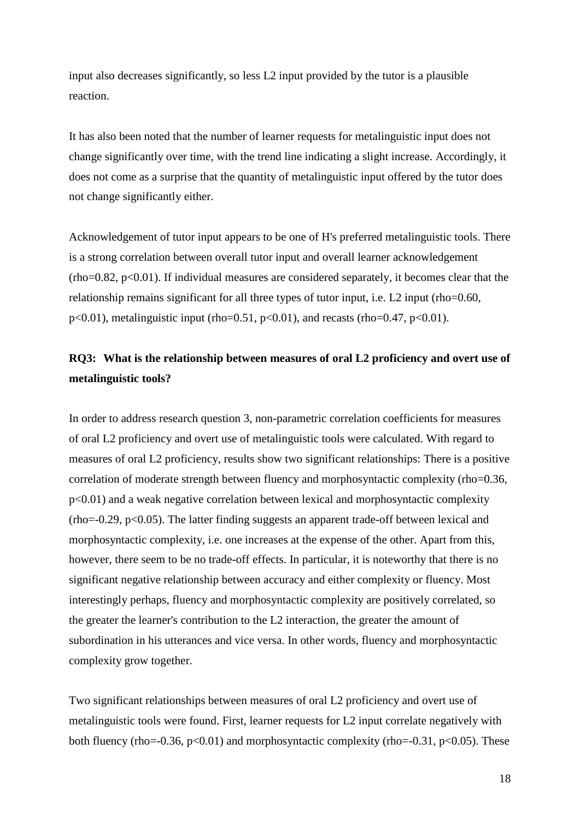input also decreases significantly, so less L2 input provided by the tutor is a plausible reaction.

It has also been noted that the number of learner requests for metalinguistic input does not change significantly over time, with the trend line indicating a slight increase. Accordingly, it does not come as a surprise that the quantity of metalinguistic input offered by the tutor does not change significantly either.

Acknowledgement of tutor input appears to be one of H's preferred metalinguistic tools. There is a strong correlation between overall tutor input and overall learner acknowledgement  $(rho=0.82, p<0.01)$ . If individual measures are considered separately, it becomes clear that the relationship remains significant for all three types of tutor input, i.e. L2 input (rho=0.60, p<0.01), metalinguistic input (rho=0.51, p<0.01), and recasts (rho=0.47, p<0.01).

## **RQ3: What is the relationship between measures of oral L2 proficiency and overt use of metalinguistic tools?**

In order to address research question 3, non-parametric correlation coefficients for measures of oral L2 proficiency and overt use of metalinguistic tools were calculated. With regard to measures of oral L2 proficiency, results show two significant relationships: There is a positive correlation of moderate strength between fluency and morphosyntactic complexity (rho=0.36, p<0.01) and a weak negative correlation between lexical and morphosyntactic complexity (rho=-0.29, p<0.05). The latter finding suggests an apparent trade-off between lexical and morphosyntactic complexity, i.e. one increases at the expense of the other. Apart from this, however, there seem to be no trade-off effects. In particular, it is noteworthy that there is no significant negative relationship between accuracy and either complexity or fluency. Most interestingly perhaps, fluency and morphosyntactic complexity are positively correlated, so the greater the learner's contribution to the L2 interaction, the greater the amount of subordination in his utterances and vice versa. In other words, fluency and morphosyntactic complexity grow together.

Two significant relationships between measures of oral L2 proficiency and overt use of metalinguistic tools were found. First, learner requests for L2 input correlate negatively with both fluency (rho=-0.36,  $p<0.01$ ) and morphosyntactic complexity (rho=-0.31,  $p<0.05$ ). These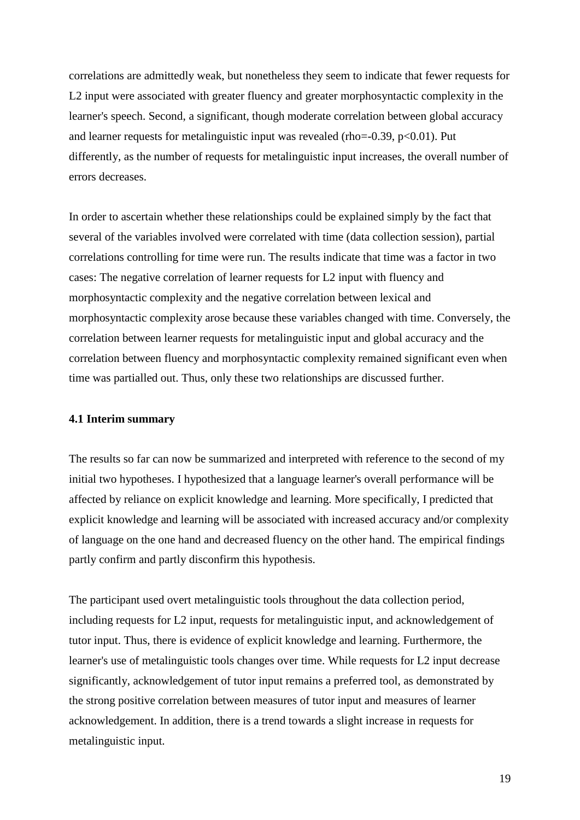correlations are admittedly weak, but nonetheless they seem to indicate that fewer requests for L<sub>2</sub> input were associated with greater fluency and greater morphosyntactic complexity in the learner's speech. Second, a significant, though moderate correlation between global accuracy and learner requests for metalinguistic input was revealed (rho= $-0.39$ , p< $0.01$ ). Put differently, as the number of requests for metalinguistic input increases, the overall number of errors decreases.

In order to ascertain whether these relationships could be explained simply by the fact that several of the variables involved were correlated with time (data collection session), partial correlations controlling for time were run. The results indicate that time was a factor in two cases: The negative correlation of learner requests for L2 input with fluency and morphosyntactic complexity and the negative correlation between lexical and morphosyntactic complexity arose because these variables changed with time. Conversely, the correlation between learner requests for metalinguistic input and global accuracy and the correlation between fluency and morphosyntactic complexity remained significant even when time was partialled out. Thus, only these two relationships are discussed further.

#### **4.1 Interim summary**

The results so far can now be summarized and interpreted with reference to the second of my initial two hypotheses. I hypothesized that a language learner's overall performance will be affected by reliance on explicit knowledge and learning. More specifically, I predicted that explicit knowledge and learning will be associated with increased accuracy and/or complexity of language on the one hand and decreased fluency on the other hand. The empirical findings partly confirm and partly disconfirm this hypothesis.

The participant used overt metalinguistic tools throughout the data collection period, including requests for L2 input, requests for metalinguistic input, and acknowledgement of tutor input. Thus, there is evidence of explicit knowledge and learning. Furthermore, the learner's use of metalinguistic tools changes over time. While requests for L2 input decrease significantly, acknowledgement of tutor input remains a preferred tool, as demonstrated by the strong positive correlation between measures of tutor input and measures of learner acknowledgement. In addition, there is a trend towards a slight increase in requests for metalinguistic input.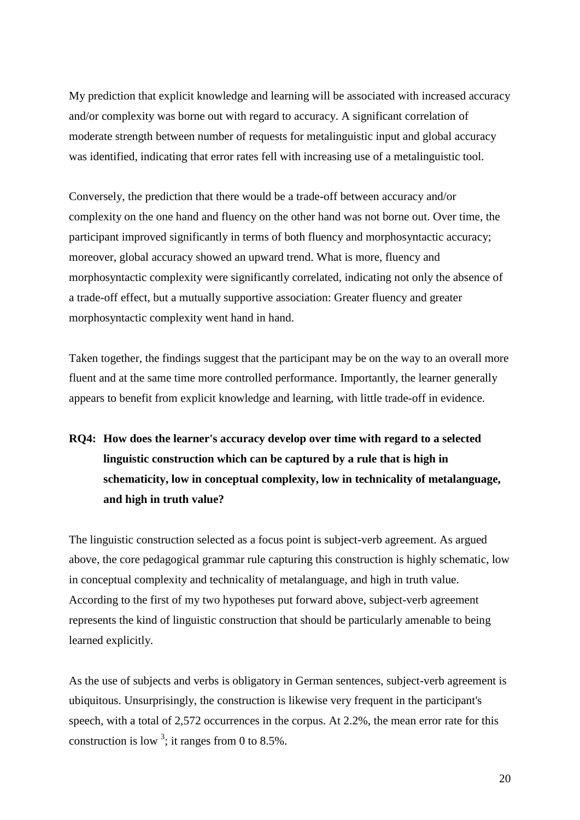My prediction that explicit knowledge and learning will be associated with increased accuracy and/or complexity was borne out with regard to accuracy. A significant correlation of moderate strength between number of requests for metalinguistic input and global accuracy was identified, indicating that error rates fell with increasing use of a metalinguistic tool.

Conversely, the prediction that there would be a trade-off between accuracy and/or complexity on the one hand and fluency on the other hand was not borne out. Over time, the participant improved significantly in terms of both fluency and morphosyntactic accuracy; moreover, global accuracy showed an upward trend. What is more, fluency and morphosyntactic complexity were significantly correlated, indicating not only the absence of a trade-off effect, but a mutually supportive association: Greater fluency and greater morphosyntactic complexity went hand in hand.

Taken together, the findings suggest that the participant may be on the way to an overall more fluent and at the same time more controlled performance. Importantly, the learner generally appears to benefit from explicit knowledge and learning, with little trade-off in evidence.

# **RQ4: How does the learner's accuracy develop over time with regard to a selected linguistic construction which can be captured by a rule that is high in schematicity, low in conceptual complexity, low in technicality of metalanguage, and high in truth value?**

The linguistic construction selected as a focus point is subject-verb agreement. As argued above, the core pedagogical grammar rule capturing this construction is highly schematic, low in conceptual complexity and technicality of metalanguage, and high in truth value. According to the first of my two hypotheses put forward above, subject-verb agreement represents the kind of linguistic construction that should be particularly amenable to being learned explicitly.

As the use of subjects and verbs is obligatory in German sentences, subject-verb agreement is ubiquitous. Unsurprisingly, the construction is likewise very frequent in the participant's speech, with a total of 2,572 occurrences in the corpus. At 2.2%, the mean error rate for this construction is low  $3$ ; it ranges from 0 to 8.5%.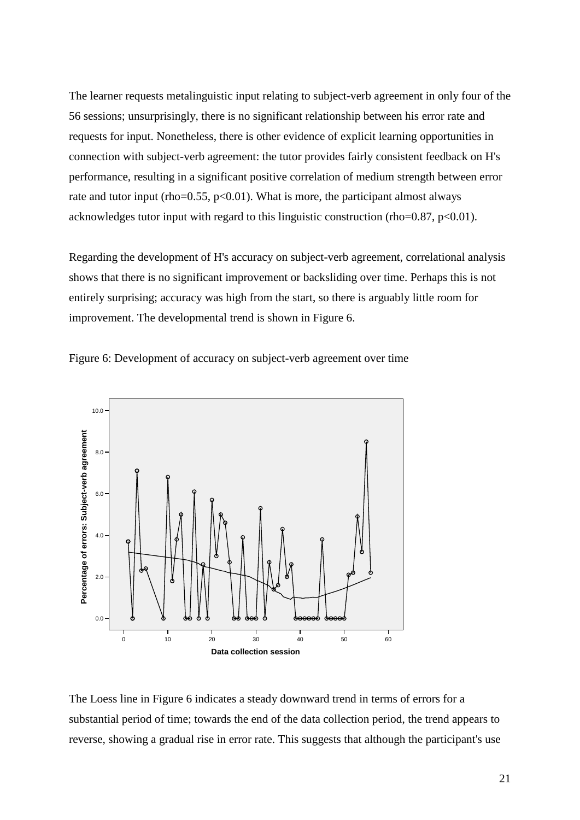The learner requests metalinguistic input relating to subject-verb agreement in only four of the 56 sessions; unsurprisingly, there is no significant relationship between his error rate and requests for input. Nonetheless, there is other evidence of explicit learning opportunities in connection with subject-verb agreement: the tutor provides fairly consistent feedback on H's performance, resulting in a significant positive correlation of medium strength between error rate and tutor input (rho=0.55,  $p<0.01$ ). What is more, the participant almost always acknowledges tutor input with regard to this linguistic construction (rho=0.87,  $p<0.01$ ).

Regarding the development of H's accuracy on subject-verb agreement, correlational analysis shows that there is no significant improvement or backsliding over time. Perhaps this is not entirely surprising; accuracy was high from the start, so there is arguably little room for improvement. The developmental trend is shown in Figure 6.





The Loess line in Figure 6 indicates a steady downward trend in terms of errors for a substantial period of time; towards the end of the data collection period, the trend appears to reverse, showing a gradual rise in error rate. This suggests that although the participant's use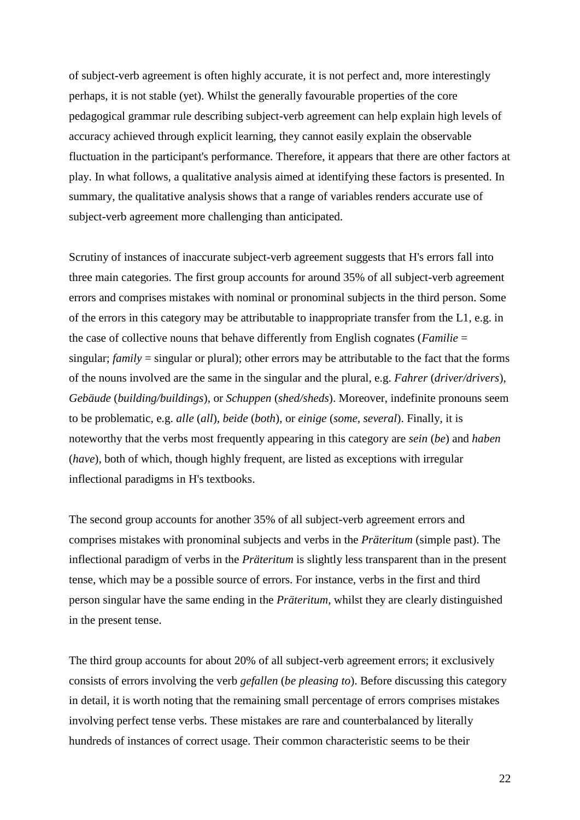of subject-verb agreement is often highly accurate, it is not perfect and, more interestingly perhaps, it is not stable (yet). Whilst the generally favourable properties of the core pedagogical grammar rule describing subject-verb agreement can help explain high levels of accuracy achieved through explicit learning, they cannot easily explain the observable fluctuation in the participant's performance. Therefore, it appears that there are other factors at play. In what follows, a qualitative analysis aimed at identifying these factors is presented. In summary, the qualitative analysis shows that a range of variables renders accurate use of subject-verb agreement more challenging than anticipated.

Scrutiny of instances of inaccurate subject-verb agreement suggests that H's errors fall into three main categories. The first group accounts for around 35% of all subject-verb agreement errors and comprises mistakes with nominal or pronominal subjects in the third person. Some of the errors in this category may be attributable to inappropriate transfer from the L1, e.g. in the case of collective nouns that behave differently from English cognates (*Familie* = singular; *family* = singular or plural); other errors may be attributable to the fact that the forms of the nouns involved are the same in the singular and the plural, e.g. *Fahrer* (*driver/drivers*), *Gebäude* (*building/buildings*), or *Schuppen* (*shed/sheds*). Moreover, indefinite pronouns seem to be problematic, e.g. *alle* (*all*), *beide* (*both*), or *einige* (*some, several*). Finally, it is noteworthy that the verbs most frequently appearing in this category are *sein* (*be*) and *haben* (*have*), both of which, though highly frequent, are listed as exceptions with irregular inflectional paradigms in H's textbooks.

The second group accounts for another 35% of all subject-verb agreement errors and comprises mistakes with pronominal subjects and verbs in the *Präteritum* (simple past). The inflectional paradigm of verbs in the *Präteritum* is slightly less transparent than in the present tense, which may be a possible source of errors. For instance, verbs in the first and third person singular have the same ending in the *Präteritum*, whilst they are clearly distinguished in the present tense.

The third group accounts for about 20% of all subject-verb agreement errors; it exclusively consists of errors involving the verb *gefallen* (*be pleasing to*). Before discussing this category in detail, it is worth noting that the remaining small percentage of errors comprises mistakes involving perfect tense verbs. These mistakes are rare and counterbalanced by literally hundreds of instances of correct usage. Their common characteristic seems to be their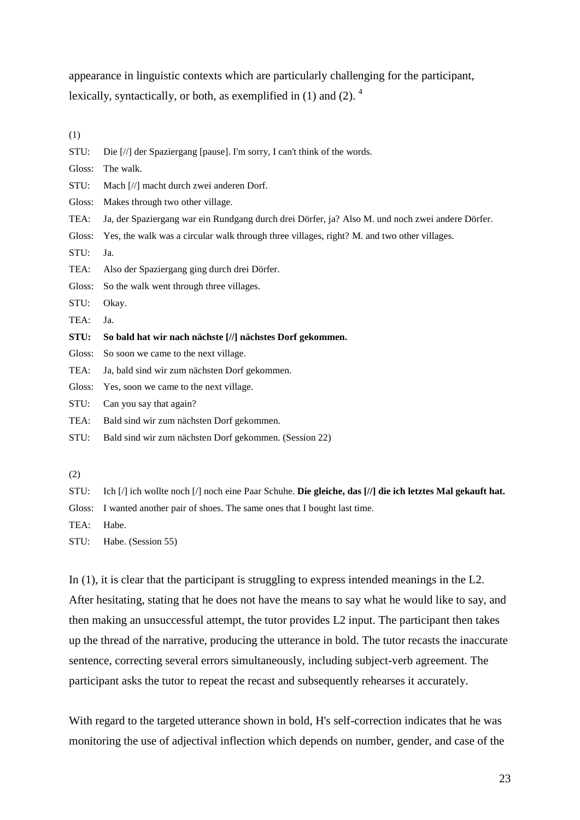appearance in linguistic contexts which are particularly challenging for the participant, lexically, syntactically, or both, as exemplified in (1) and (2). <sup>4</sup>

(1)

| (1)    |                                                                                                  |  |  |  |
|--------|--------------------------------------------------------------------------------------------------|--|--|--|
| STU:   | Die [//] der Spaziergang [pause]. I'm sorry, I can't think of the words.                         |  |  |  |
| Gloss: | The walk.                                                                                        |  |  |  |
| STU:   | Mach [//] macht durch zwei anderen Dorf.                                                         |  |  |  |
| Gloss: | Makes through two other village.                                                                 |  |  |  |
| TEA:   | Ja, der Spaziergang war ein Rundgang durch drei Dörfer, ja? Also M. und noch zwei andere Dörfer. |  |  |  |
| Gloss: | Yes, the walk was a circular walk through three villages, right? M. and two other villages.      |  |  |  |
| STU:   | Ja.                                                                                              |  |  |  |
| TEA:   | Also der Spaziergang ging durch drei Dörfer.                                                     |  |  |  |
| Gloss: | So the walk went through three villages.                                                         |  |  |  |
| STU:   | Okay.                                                                                            |  |  |  |
| TEA:   | Ja.                                                                                              |  |  |  |
| STU:   | So bald hat wir nach nächste [//] nächstes Dorf gekommen.                                        |  |  |  |
| Gloss: | So soon we came to the next village.                                                             |  |  |  |
| TEA:   | Ja, bald sind wir zum nächsten Dorf gekommen.                                                    |  |  |  |
| Gloss: | Yes, soon we came to the next village.                                                           |  |  |  |
| STU:   | Can you say that again?                                                                          |  |  |  |
| TEA:   | Bald sind wir zum nächsten Dorf gekommen.                                                        |  |  |  |
| STU:   | Bald sind wir zum nächsten Dorf gekommen. (Session 22)                                           |  |  |  |
|        |                                                                                                  |  |  |  |
|        |                                                                                                  |  |  |  |

(2)

STU: Ich [/] ich wollte noch [/] noch eine Paar Schuhe. **Die gleiche, das [//] die ich letztes Mal gekauft hat.** Gloss: I wanted another pair of shoes. The same ones that I bought last time. TEA: Habe. STU: Habe. (Session 55)

In (1), it is clear that the participant is struggling to express intended meanings in the L2. After hesitating, stating that he does not have the means to say what he would like to say, and then making an unsuccessful attempt, the tutor provides L2 input. The participant then takes up the thread of the narrative, producing the utterance in bold. The tutor recasts the inaccurate sentence, correcting several errors simultaneously, including subject-verb agreement. The participant asks the tutor to repeat the recast and subsequently rehearses it accurately.

With regard to the targeted utterance shown in bold, H's self-correction indicates that he was monitoring the use of adjectival inflection which depends on number, gender, and case of the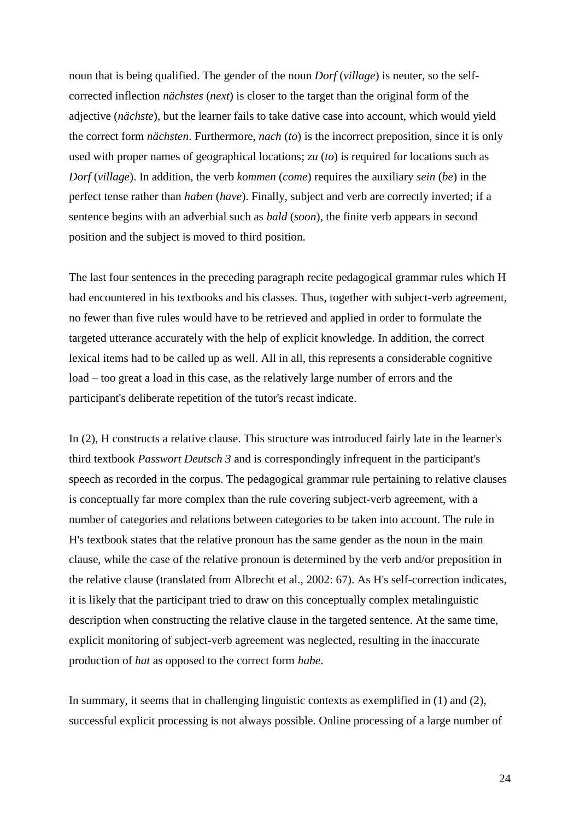noun that is being qualified. The gender of the noun *Dorf* (*village*) is neuter, so the selfcorrected inflection *nächstes* (*next*) is closer to the target than the original form of the adjective (*nächste*), but the learner fails to take dative case into account, which would yield the correct form *nächsten*. Furthermore, *nach* (*to*) is the incorrect preposition, since it is only used with proper names of geographical locations; *zu* (*to*) is required for locations such as *Dorf* (*village*). In addition, the verb *kommen* (*come*) requires the auxiliary *sein* (*be*) in the perfect tense rather than *haben* (*have*). Finally, subject and verb are correctly inverted; if a sentence begins with an adverbial such as *bald* (*soon*), the finite verb appears in second position and the subject is moved to third position.

The last four sentences in the preceding paragraph recite pedagogical grammar rules which H had encountered in his textbooks and his classes. Thus, together with subject-verb agreement, no fewer than five rules would have to be retrieved and applied in order to formulate the targeted utterance accurately with the help of explicit knowledge. In addition, the correct lexical items had to be called up as well. All in all, this represents a considerable cognitive load – too great a load in this case, as the relatively large number of errors and the participant's deliberate repetition of the tutor's recast indicate.

In (2), H constructs a relative clause. This structure was introduced fairly late in the learner's third textbook *Passwort Deutsch 3* and is correspondingly infrequent in the participant's speech as recorded in the corpus. The pedagogical grammar rule pertaining to relative clauses is conceptually far more complex than the rule covering subject-verb agreement, with a number of categories and relations between categories to be taken into account. The rule in H's textbook states that the relative pronoun has the same gender as the noun in the main clause, while the case of the relative pronoun is determined by the verb and/or preposition in the relative clause (translated from Albrecht et al., 2002: 67). As H's self-correction indicates, it is likely that the participant tried to draw on this conceptually complex metalinguistic description when constructing the relative clause in the targeted sentence. At the same time, explicit monitoring of subject-verb agreement was neglected, resulting in the inaccurate production of *hat* as opposed to the correct form *habe*.

In summary, it seems that in challenging linguistic contexts as exemplified in (1) and (2), successful explicit processing is not always possible. Online processing of a large number of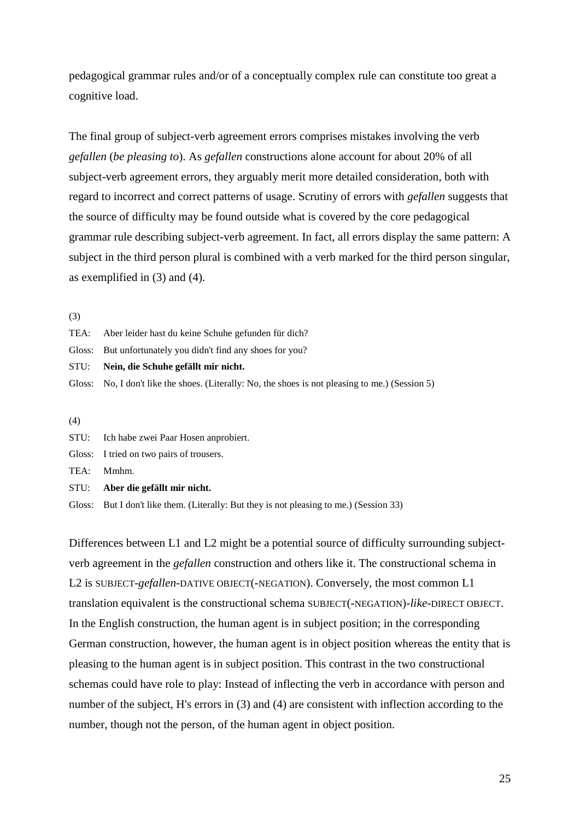pedagogical grammar rules and/or of a conceptually complex rule can constitute too great a cognitive load.

The final group of subject-verb agreement errors comprises mistakes involving the verb *gefallen* (*be pleasing to*). As *gefallen* constructions alone account for about 20% of all subject-verb agreement errors, they arguably merit more detailed consideration, both with regard to incorrect and correct patterns of usage. Scrutiny of errors with *gefallen* suggests that the source of difficulty may be found outside what is covered by the core pedagogical grammar rule describing subject-verb agreement. In fact, all errors display the same pattern: A subject in the third person plural is combined with a verb marked for the third person singular, as exemplified in (3) and (4).

(3)

| STU: Nein, die Schuhe gefällt mir nicht.                    |
|-------------------------------------------------------------|
| Gloss: But unfortunately you didn't find any shoes for you? |
| TEA: Aber leider hast du keine Schuhe gefunden für dich?    |

Gloss: No, I don't like the shoes. (Literally: No, the shoes is not pleasing to me.) (Session 5)

(4)

STU: Ich habe zwei Paar Hosen anprobiert.

Gloss: I tried on two pairs of trousers.

TEA: Mmhm.

STU: **Aber die gefällt mir nicht.**

Gloss: But I don't like them. (Literally: But they is not pleasing to me.) (Session 33)

Differences between L1 and L2 might be a potential source of difficulty surrounding subjectverb agreement in the *gefallen* construction and others like it. The constructional schema in L2 is SUBJECT-*gefallen*-DATIVE OBJECT(-NEGATION). Conversely, the most common L1 translation equivalent is the constructional schema SUBJECT(-NEGATION)-*like*-DIRECT OBJECT. In the English construction, the human agent is in subject position; in the corresponding German construction, however, the human agent is in object position whereas the entity that is pleasing to the human agent is in subject position. This contrast in the two constructional schemas could have role to play: Instead of inflecting the verb in accordance with person and number of the subject, H's errors in (3) and (4) are consistent with inflection according to the number, though not the person, of the human agent in object position.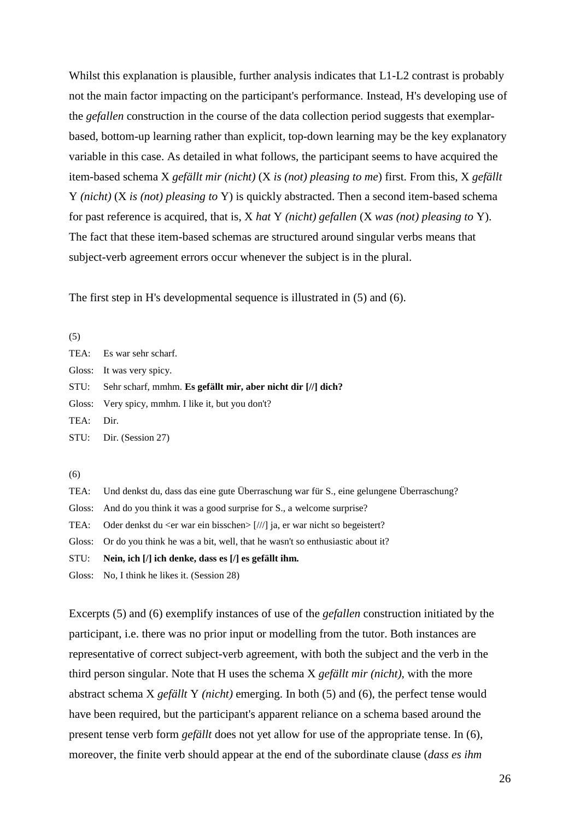Whilst this explanation is plausible, further analysis indicates that L1-L2 contrast is probably not the main factor impacting on the participant's performance. Instead, H's developing use of the *gefallen* construction in the course of the data collection period suggests that exemplarbased, bottom-up learning rather than explicit, top-down learning may be the key explanatory variable in this case. As detailed in what follows, the participant seems to have acquired the item-based schema X *gefällt mir (nicht)* (X *is (not) pleasing to me*) first. From this, X *gefällt*  Y *(nicht)* (X *is (not) pleasing to* Y) is quickly abstracted. Then a second item-based schema for past reference is acquired, that is, X *hat* Y *(nicht) gefallen* (X *was (not) pleasing to* Y). The fact that these item-based schemas are structured around singular verbs means that subject-verb agreement errors occur whenever the subject is in the plural.

The first step in H's developmental sequence is illustrated in (5) and (6).

(5)

|           | TEA: Es war sehr scharf.                           |
|-----------|----------------------------------------------------|
|           | Gloss: It was very spicy.                          |
|           | STU: Sehr scharf, mmhm. Es gefällt mir, aber n     |
|           | Gloss: Very spicy, mmhm. I like it, but you don't? |
| TEA: Dir. |                                                    |

STU: Dir. (Session 27)

(6)

| TEA: Und denkst du, dass das eine gute Überraschung war für S., eine gelungene Überraschung? |  |  |  |  |
|----------------------------------------------------------------------------------------------|--|--|--|--|
|                                                                                              |  |  |  |  |
|                                                                                              |  |  |  |  |
|                                                                                              |  |  |  |  |

mir, aber nicht dir [//] dich?

Gloss: And do you think it was a good surprise for S., a welcome surprise?

TEA: Oder denkst du <er war ein bisschen> [///] ja, er war nicht so begeistert?

Gloss: Or do you think he was a bit, well, that he wasn't so enthusiastic about it?

STU: **Nein, ich [/] ich denke, dass es [/] es gefällt ihm.**

Gloss: No, I think he likes it. (Session 28)

Excerpts (5) and (6) exemplify instances of use of the *gefallen* construction initiated by the participant, i.e. there was no prior input or modelling from the tutor. Both instances are representative of correct subject-verb agreement, with both the subject and the verb in the third person singular. Note that H uses the schema X *gefällt mir (nicht)*, with the more abstract schema X *gefällt* Y *(nicht)* emerging. In both (5) and (6), the perfect tense would have been required, but the participant's apparent reliance on a schema based around the present tense verb form *gefällt* does not yet allow for use of the appropriate tense. In (6), moreover, the finite verb should appear at the end of the subordinate clause (*dass es ihm*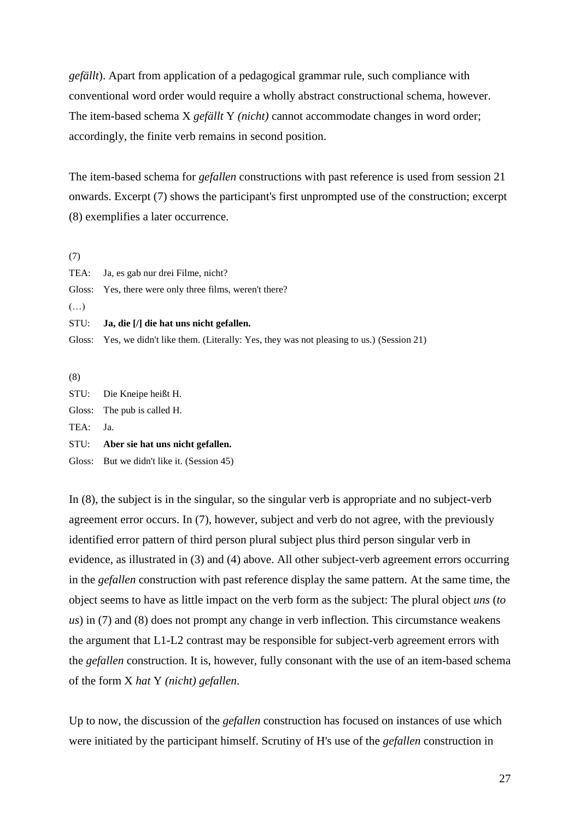*gefällt*). Apart from application of a pedagogical grammar rule, such compliance with conventional word order would require a wholly abstract constructional schema, however. The item-based schema X *gefällt* Y *(nicht)* cannot accommodate changes in word order; accordingly, the finite verb remains in second position.

The item-based schema for *gefallen* constructions with past reference is used from session 21 onwards. Excerpt (7) shows the participant's first unprompted use of the construction; excerpt (8) exemplifies a later occurrence.

| (1)        |                                                                                              |
|------------|----------------------------------------------------------------------------------------------|
|            | TEA: Ja, es gab nur drei Filme, nicht?                                                       |
|            | Gloss: Yes, there were only three films, weren't there?                                      |
| $(\ldots)$ |                                                                                              |
|            | STU: Ja, die [/] die hat uns nicht gefallen.                                                 |
|            | Gloss: Yes, we didn't like them. (Literally: Yes, they was not pleasing to us.) (Session 21) |

(8)

 $(7)$ 

|          | STU: Die Kneipe heißt H.                   |
|----------|--------------------------------------------|
|          | Gloss: The pub is called H.                |
| TEA: Ja. |                                            |
|          | STU: Aber sie hat uns nicht gefallen.      |
|          | Gloss: But we didn't like it. (Session 45) |

In (8), the subject is in the singular, so the singular verb is appropriate and no subject-verb agreement error occurs. In (7), however, subject and verb do not agree, with the previously identified error pattern of third person plural subject plus third person singular verb in evidence, as illustrated in (3) and (4) above. All other subject-verb agreement errors occurring in the *gefallen* construction with past reference display the same pattern. At the same time, the object seems to have as little impact on the verb form as the subject: The plural object *uns* (*to us*) in (7) and (8) does not prompt any change in verb inflection. This circumstance weakens the argument that L1-L2 contrast may be responsible for subject-verb agreement errors with the *gefallen* construction. It is, however, fully consonant with the use of an item-based schema of the form X *hat* Y *(nicht) gefallen*.

Up to now, the discussion of the *gefallen* construction has focused on instances of use which were initiated by the participant himself. Scrutiny of H's use of the *gefallen* construction in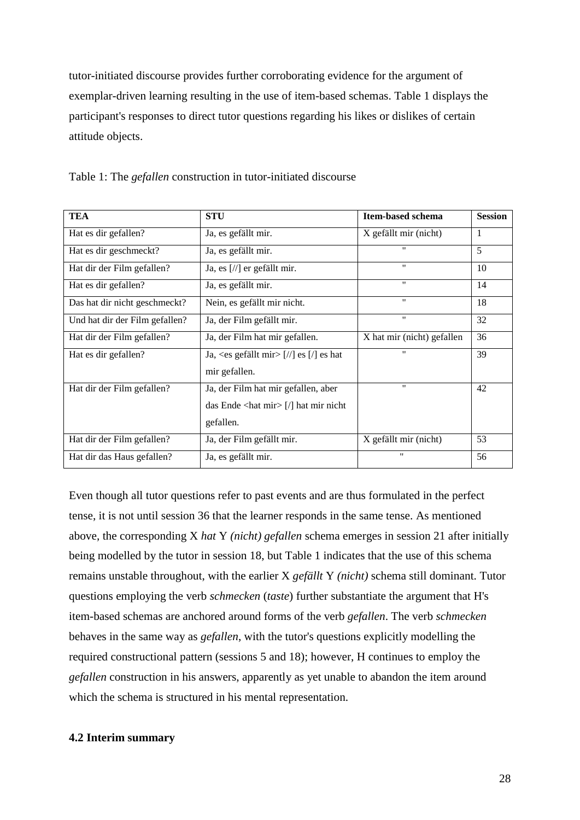tutor-initiated discourse provides further corroborating evidence for the argument of exemplar-driven learning resulting in the use of item-based schemas. Table 1 displays the participant's responses to direct tutor questions regarding his likes or dislikes of certain attitude objects.

| TEA                            | <b>STU</b>                                                                                                     | <b>Item-based schema</b>   | <b>Session</b> |
|--------------------------------|----------------------------------------------------------------------------------------------------------------|----------------------------|----------------|
| Hat es dir gefallen?           | Ja, es gefällt mir.                                                                                            | X gefällt mir (nicht)      | 1              |
| Hat es dir geschmeckt?         | Ja, es gefällt mir.                                                                                            | "                          | 5              |
| Hat dir der Film gefallen?     | Ja, es [//] er gefällt mir.                                                                                    | $^{\prime\prime}$          | 10             |
| Hat es dir gefallen?           | Ja, es gefällt mir.                                                                                            | $\mathbf{H}$               | 14             |
| Das hat dir nicht geschmeckt?  | Nein, es gefällt mir nicht.                                                                                    | $\mathbf{H}$               | 18             |
| Und hat dir der Film gefallen? | Ja, der Film gefällt mir.                                                                                      | $^{\prime\prime}$          | 32             |
| Hat dir der Film gefallen?     | Ja, der Film hat mir gefallen.                                                                                 | X hat mir (nicht) gefallen | 36             |
| Hat es dir gefallen?           | Ja, $\langle$ es gefällt mir $\rangle$ [//] es [/] es hat<br>mir gefallen.                                     | $\mathbf{H}$               | 39             |
| Hat dir der Film gefallen?     | Ja, der Film hat mir gefallen, aber<br>das Ende <hat mir=""><math>[/]</math> hat mir nicht<br/>gefallen.</hat> | "                          | 42             |
| Hat dir der Film gefallen?     | Ja, der Film gefällt mir.                                                                                      | X gefällt mir (nicht)      | 53             |
| Hat dir das Haus gefallen?     | Ja, es gefällt mir.                                                                                            | $^{\prime\prime}$          | 56             |

Table 1: The *gefallen* construction in tutor-initiated discourse

Even though all tutor questions refer to past events and are thus formulated in the perfect tense, it is not until session 36 that the learner responds in the same tense. As mentioned above, the corresponding X *hat* Y *(nicht) gefallen* schema emerges in session 21 after initially being modelled by the tutor in session 18, but Table 1 indicates that the use of this schema remains unstable throughout, with the earlier X *gefällt* Y *(nicht)* schema still dominant. Tutor questions employing the verb *schmecken* (*taste*) further substantiate the argument that H's item-based schemas are anchored around forms of the verb *gefallen*. The verb *schmecken*  behaves in the same way as *gefallen*, with the tutor's questions explicitly modelling the required constructional pattern (sessions 5 and 18); however, H continues to employ the *gefallen* construction in his answers, apparently as yet unable to abandon the item around which the schema is structured in his mental representation.

#### **4.2 Interim summary**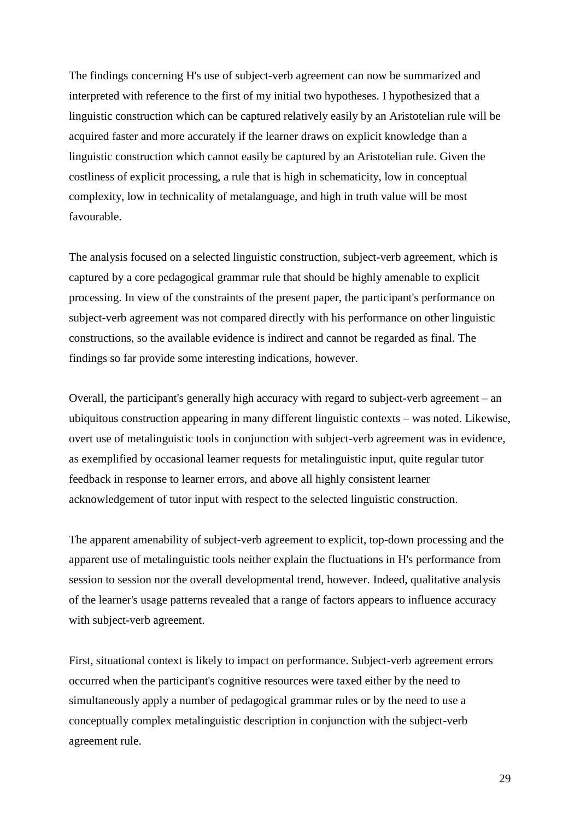The findings concerning H's use of subject-verb agreement can now be summarized and interpreted with reference to the first of my initial two hypotheses. I hypothesized that a linguistic construction which can be captured relatively easily by an Aristotelian rule will be acquired faster and more accurately if the learner draws on explicit knowledge than a linguistic construction which cannot easily be captured by an Aristotelian rule. Given the costliness of explicit processing, a rule that is high in schematicity, low in conceptual complexity, low in technicality of metalanguage, and high in truth value will be most favourable.

The analysis focused on a selected linguistic construction, subject-verb agreement, which is captured by a core pedagogical grammar rule that should be highly amenable to explicit processing. In view of the constraints of the present paper, the participant's performance on subject-verb agreement was not compared directly with his performance on other linguistic constructions, so the available evidence is indirect and cannot be regarded as final. The findings so far provide some interesting indications, however.

Overall, the participant's generally high accuracy with regard to subject-verb agreement – an ubiquitous construction appearing in many different linguistic contexts – was noted. Likewise, overt use of metalinguistic tools in conjunction with subject-verb agreement was in evidence, as exemplified by occasional learner requests for metalinguistic input, quite regular tutor feedback in response to learner errors, and above all highly consistent learner acknowledgement of tutor input with respect to the selected linguistic construction.

The apparent amenability of subject-verb agreement to explicit, top-down processing and the apparent use of metalinguistic tools neither explain the fluctuations in H's performance from session to session nor the overall developmental trend, however. Indeed, qualitative analysis of the learner's usage patterns revealed that a range of factors appears to influence accuracy with subject-verb agreement.

First, situational context is likely to impact on performance. Subject-verb agreement errors occurred when the participant's cognitive resources were taxed either by the need to simultaneously apply a number of pedagogical grammar rules or by the need to use a conceptually complex metalinguistic description in conjunction with the subject-verb agreement rule.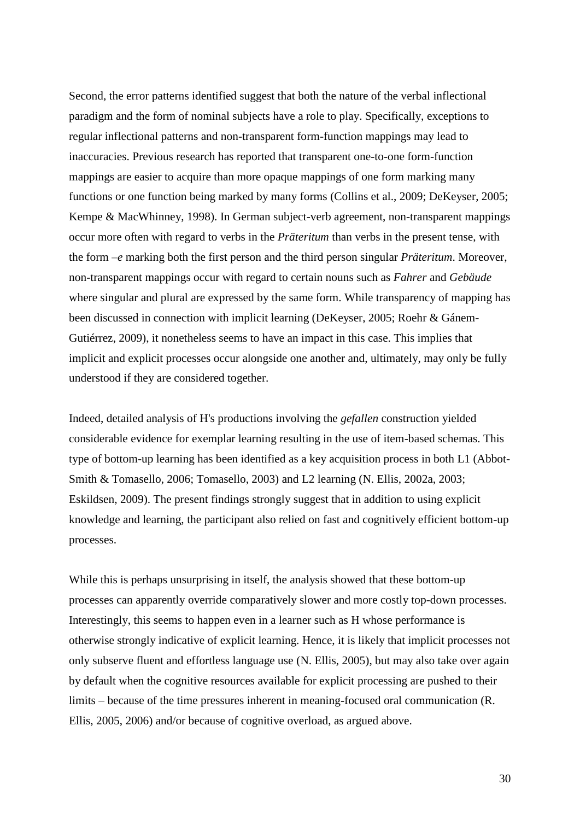Second, the error patterns identified suggest that both the nature of the verbal inflectional paradigm and the form of nominal subjects have a role to play. Specifically, exceptions to regular inflectional patterns and non-transparent form-function mappings may lead to inaccuracies. Previous research has reported that transparent one-to-one form-function mappings are easier to acquire than more opaque mappings of one form marking many functions or one function being marked by many forms (Collins et al., 2009; DeKeyser, 2005; Kempe & MacWhinney, 1998). In German subject-verb agreement, non-transparent mappings occur more often with regard to verbs in the *Präteritum* than verbs in the present tense, with the form *–e* marking both the first person and the third person singular *Präteritum*. Moreover, non-transparent mappings occur with regard to certain nouns such as *Fahrer* and *Gebäude* where singular and plural are expressed by the same form. While transparency of mapping has been discussed in connection with implicit learning (DeKeyser, 2005; Roehr & Gánem-Gutiérrez, 2009), it nonetheless seems to have an impact in this case. This implies that implicit and explicit processes occur alongside one another and, ultimately, may only be fully understood if they are considered together.

Indeed, detailed analysis of H's productions involving the *gefallen* construction yielded considerable evidence for exemplar learning resulting in the use of item-based schemas. This type of bottom-up learning has been identified as a key acquisition process in both L1 (Abbot-Smith & Tomasello, 2006; Tomasello, 2003) and L2 learning (N. Ellis, 2002a, 2003; Eskildsen, 2009). The present findings strongly suggest that in addition to using explicit knowledge and learning, the participant also relied on fast and cognitively efficient bottom-up processes.

While this is perhaps unsurprising in itself, the analysis showed that these bottom-up processes can apparently override comparatively slower and more costly top-down processes. Interestingly, this seems to happen even in a learner such as H whose performance is otherwise strongly indicative of explicit learning. Hence, it is likely that implicit processes not only subserve fluent and effortless language use (N. Ellis, 2005), but may also take over again by default when the cognitive resources available for explicit processing are pushed to their limits – because of the time pressures inherent in meaning-focused oral communication (R. Ellis, 2005, 2006) and/or because of cognitive overload, as argued above.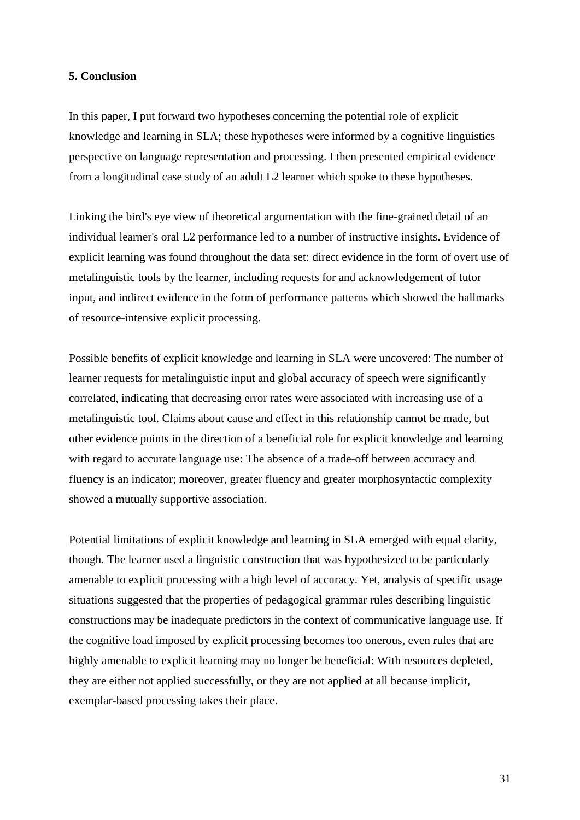## **5. Conclusion**

In this paper, I put forward two hypotheses concerning the potential role of explicit knowledge and learning in SLA; these hypotheses were informed by a cognitive linguistics perspective on language representation and processing. I then presented empirical evidence from a longitudinal case study of an adult L2 learner which spoke to these hypotheses.

Linking the bird's eye view of theoretical argumentation with the fine-grained detail of an individual learner's oral L2 performance led to a number of instructive insights. Evidence of explicit learning was found throughout the data set: direct evidence in the form of overt use of metalinguistic tools by the learner, including requests for and acknowledgement of tutor input, and indirect evidence in the form of performance patterns which showed the hallmarks of resource-intensive explicit processing.

Possible benefits of explicit knowledge and learning in SLA were uncovered: The number of learner requests for metalinguistic input and global accuracy of speech were significantly correlated, indicating that decreasing error rates were associated with increasing use of a metalinguistic tool. Claims about cause and effect in this relationship cannot be made, but other evidence points in the direction of a beneficial role for explicit knowledge and learning with regard to accurate language use: The absence of a trade-off between accuracy and fluency is an indicator; moreover, greater fluency and greater morphosyntactic complexity showed a mutually supportive association.

Potential limitations of explicit knowledge and learning in SLA emerged with equal clarity, though. The learner used a linguistic construction that was hypothesized to be particularly amenable to explicit processing with a high level of accuracy. Yet, analysis of specific usage situations suggested that the properties of pedagogical grammar rules describing linguistic constructions may be inadequate predictors in the context of communicative language use. If the cognitive load imposed by explicit processing becomes too onerous, even rules that are highly amenable to explicit learning may no longer be beneficial: With resources depleted, they are either not applied successfully, or they are not applied at all because implicit, exemplar-based processing takes their place.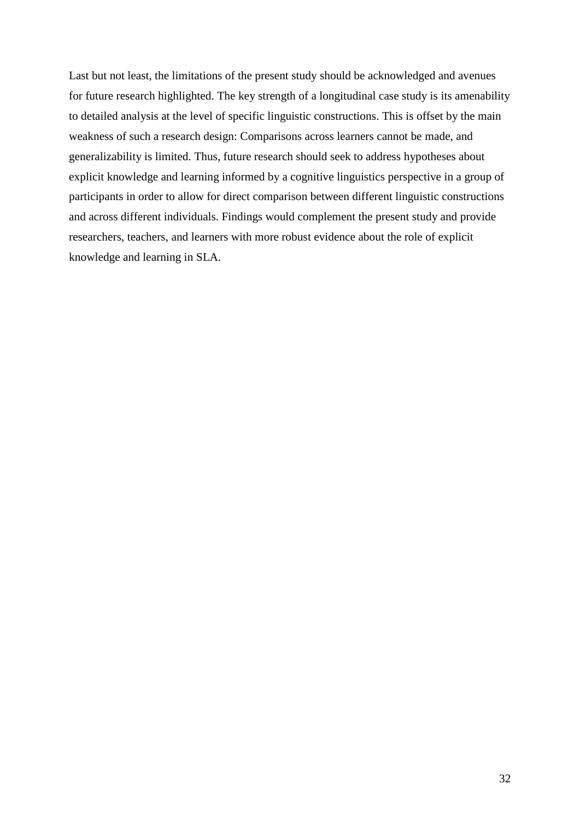Last but not least, the limitations of the present study should be acknowledged and avenues for future research highlighted. The key strength of a longitudinal case study is its amenability to detailed analysis at the level of specific linguistic constructions. This is offset by the main weakness of such a research design: Comparisons across learners cannot be made, and generalizability is limited. Thus, future research should seek to address hypotheses about explicit knowledge and learning informed by a cognitive linguistics perspective in a group of participants in order to allow for direct comparison between different linguistic constructions and across different individuals. Findings would complement the present study and provide researchers, teachers, and learners with more robust evidence about the role of explicit knowledge and learning in SLA.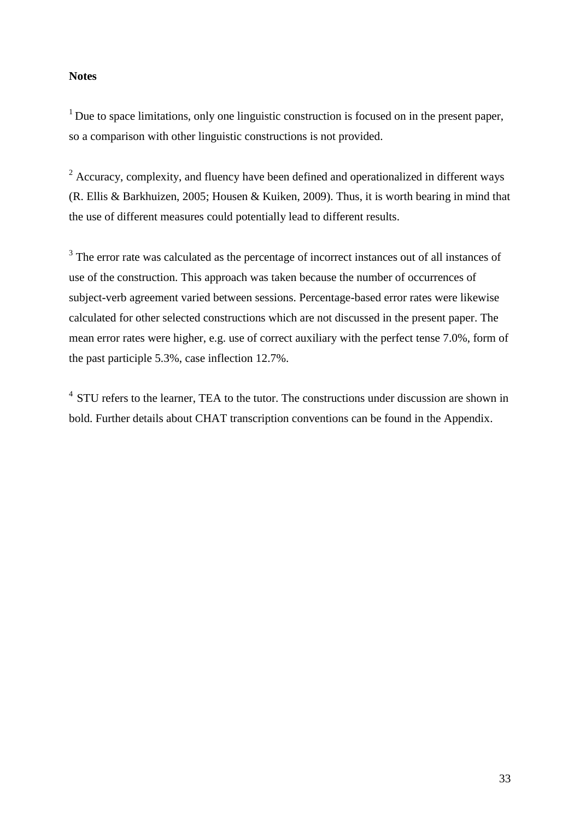### **Notes**

 $1$  Due to space limitations, only one linguistic construction is focused on in the present paper, so a comparison with other linguistic constructions is not provided.

 $2 \text{ Accuracy}$ , complexity, and fluency have been defined and operationalized in different ways (R. Ellis & Barkhuizen, 2005; Housen & Kuiken, 2009). Thus, it is worth bearing in mind that the use of different measures could potentially lead to different results.

<sup>3</sup> The error rate was calculated as the percentage of incorrect instances out of all instances of use of the construction. This approach was taken because the number of occurrences of subject-verb agreement varied between sessions. Percentage-based error rates were likewise calculated for other selected constructions which are not discussed in the present paper. The mean error rates were higher, e.g. use of correct auxiliary with the perfect tense 7.0%, form of the past participle 5.3%, case inflection 12.7%.

 $4$  STU refers to the learner, TEA to the tutor. The constructions under discussion are shown in bold. Further details about CHAT transcription conventions can be found in the Appendix.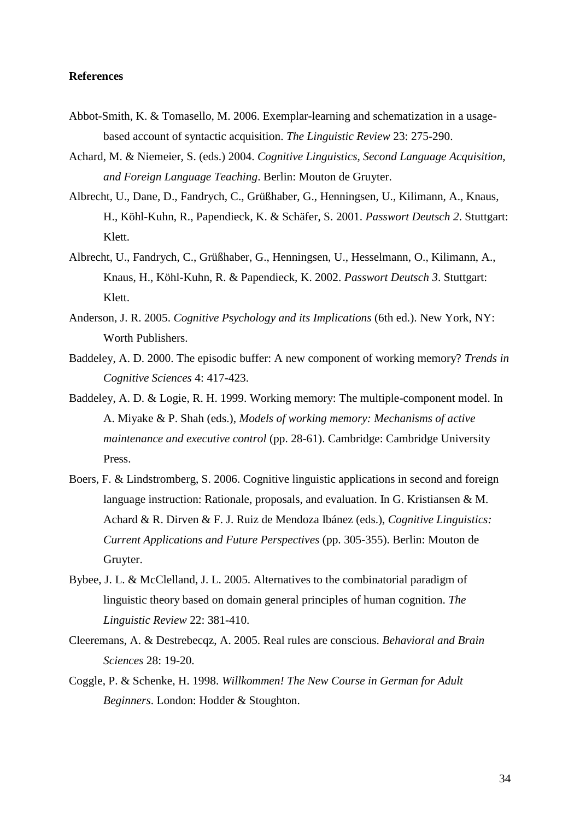### **References**

- Abbot-Smith, K. & Tomasello, M. 2006. Exemplar-learning and schematization in a usagebased account of syntactic acquisition. *The Linguistic Review* 23: 275-290.
- Achard, M. & Niemeier, S. (eds.) 2004. *Cognitive Linguistics, Second Language Acquisition, and Foreign Language Teaching*. Berlin: Mouton de Gruyter.
- Albrecht, U., Dane, D., Fandrych, C., Grüßhaber, G., Henningsen, U., Kilimann, A., Knaus, H., Köhl-Kuhn, R., Papendieck, K. & Schäfer, S. 2001. *Passwort Deutsch 2*. Stuttgart: Klett.
- Albrecht, U., Fandrych, C., Grüßhaber, G., Henningsen, U., Hesselmann, O., Kilimann, A., Knaus, H., Köhl-Kuhn, R. & Papendieck, K. 2002. *Passwort Deutsch 3*. Stuttgart: Klett.
- Anderson, J. R. 2005. *Cognitive Psychology and its Implications* (6th ed.). New York, NY: Worth Publishers.
- Baddeley, A. D. 2000. The episodic buffer: A new component of working memory? *Trends in Cognitive Sciences* 4: 417-423.
- Baddeley, A. D. & Logie, R. H. 1999. Working memory: The multiple-component model. In A. Miyake & P. Shah (eds.), *Models of working memory: Mechanisms of active maintenance and executive control* (pp. 28-61). Cambridge: Cambridge University Press.
- Boers, F. & Lindstromberg, S. 2006. Cognitive linguistic applications in second and foreign language instruction: Rationale, proposals, and evaluation. In G. Kristiansen & M. Achard & R. Dirven & F. J. Ruiz de Mendoza Ibánez (eds.), *Cognitive Linguistics: Current Applications and Future Perspectives* (pp. 305-355). Berlin: Mouton de Gruyter.
- Bybee, J. L. & McClelland, J. L. 2005. Alternatives to the combinatorial paradigm of linguistic theory based on domain general principles of human cognition. *The Linguistic Review* 22: 381-410.
- Cleeremans, A. & Destrebecqz, A. 2005. Real rules are conscious. *Behavioral and Brain Sciences* 28: 19-20.
- Coggle, P. & Schenke, H. 1998. *Willkommen! The New Course in German for Adult Beginners*. London: Hodder & Stoughton.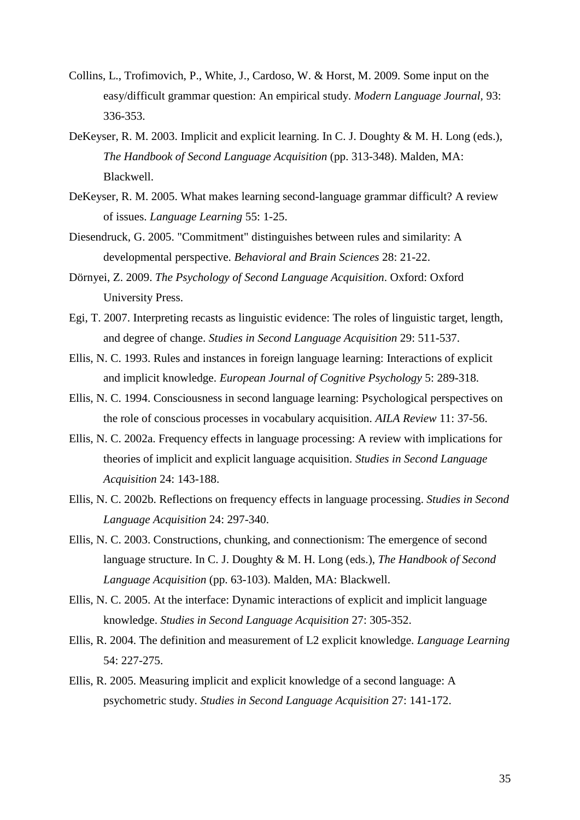- Collins, L., Trofimovich, P., White, J., Cardoso, W. & Horst, M. 2009. Some input on the easy/difficult grammar question: An empirical study. *Modern Language Journal,* 93: 336-353.
- DeKeyser, R. M. 2003. Implicit and explicit learning. In C. J. Doughty & M. H. Long (eds.), *The Handbook of Second Language Acquisition* (pp. 313-348). Malden, MA: Blackwell.
- DeKeyser, R. M. 2005. What makes learning second-language grammar difficult? A review of issues. *Language Learning* 55: 1-25.
- Diesendruck, G. 2005. "Commitment" distinguishes between rules and similarity: A developmental perspective. *Behavioral and Brain Sciences* 28: 21-22.
- Dörnyei, Z. 2009. *The Psychology of Second Language Acquisition*. Oxford: Oxford University Press.
- Egi, T. 2007. Interpreting recasts as linguistic evidence: The roles of linguistic target, length, and degree of change. *Studies in Second Language Acquisition* 29: 511-537.
- Ellis, N. C. 1993. Rules and instances in foreign language learning: Interactions of explicit and implicit knowledge. *European Journal of Cognitive Psychology* 5: 289-318.
- Ellis, N. C. 1994. Consciousness in second language learning: Psychological perspectives on the role of conscious processes in vocabulary acquisition. *AILA Review* 11: 37-56.
- Ellis, N. C. 2002a. Frequency effects in language processing: A review with implications for theories of implicit and explicit language acquisition. *Studies in Second Language Acquisition* 24: 143-188.
- Ellis, N. C. 2002b. Reflections on frequency effects in language processing. *Studies in Second Language Acquisition* 24: 297-340.
- Ellis, N. C. 2003. Constructions, chunking, and connectionism: The emergence of second language structure. In C. J. Doughty & M. H. Long (eds.), *The Handbook of Second Language Acquisition* (pp. 63-103). Malden, MA: Blackwell.
- Ellis, N. C. 2005. At the interface: Dynamic interactions of explicit and implicit language knowledge. *Studies in Second Language Acquisition* 27: 305-352.
- Ellis, R. 2004. The definition and measurement of L2 explicit knowledge. *Language Learning* 54: 227-275.
- Ellis, R. 2005. Measuring implicit and explicit knowledge of a second language: A psychometric study. *Studies in Second Language Acquisition* 27: 141-172.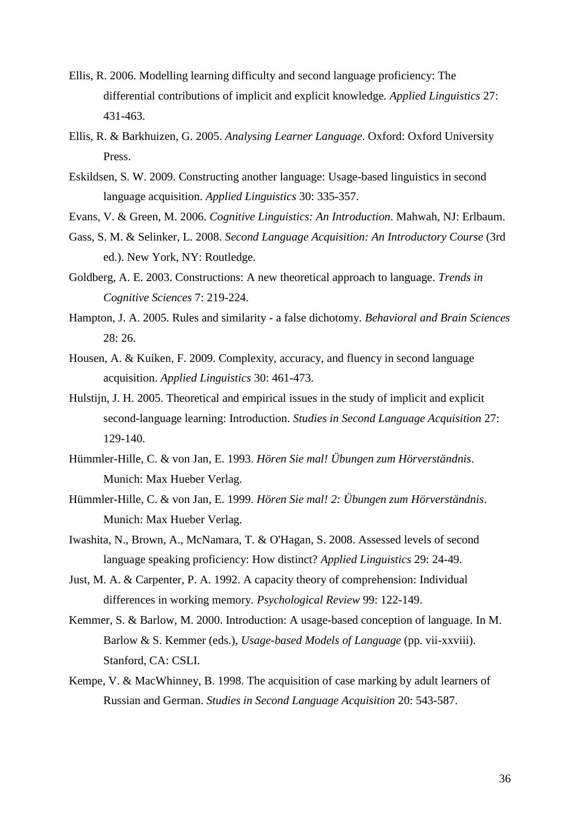- Ellis, R. 2006. Modelling learning difficulty and second language proficiency: The differential contributions of implicit and explicit knowledge. *Applied Linguistics* 27: 431-463.
- Ellis, R. & Barkhuizen, G. 2005. *Analysing Learner Language*. Oxford: Oxford University Press.
- Eskildsen, S. W. 2009. Constructing another language: Usage-based linguistics in second language acquisition. *Applied Linguistics* 30: 335-357.
- Evans, V. & Green, M. 2006. *Cognitive Linguistics: An Introduction*. Mahwah, NJ: Erlbaum.
- Gass, S. M. & Selinker, L. 2008. *Second Language Acquisition: An Introductory Course* (3rd ed.). New York, NY: Routledge.
- Goldberg, A. E. 2003. Constructions: A new theoretical approach to language. *Trends in Cognitive Sciences* 7: 219-224.
- Hampton, J. A. 2005. Rules and similarity a false dichotomy. *Behavioral and Brain Sciences* 28: 26.
- Housen, A. & Kuiken, F. 2009. Complexity, accuracy, and fluency in second language acquisition. *Applied Linguistics* 30: 461-473.
- Hulstijn, J. H. 2005. Theoretical and empirical issues in the study of implicit and explicit second-language learning: Introduction. *Studies in Second Language Acquisition* 27: 129-140.
- Hümmler-Hille, C. & von Jan, E. 1993. *Hören Sie mal! Übungen zum Hörverständnis*. Munich: Max Hueber Verlag.
- Hümmler-Hille, C. & von Jan, E. 1999. *Hören Sie mal! 2: Übungen zum Hörverständnis*. Munich: Max Hueber Verlag.
- Iwashita, N., Brown, A., McNamara, T. & O'Hagan, S. 2008. Assessed levels of second language speaking proficiency: How distinct? *Applied Linguistics* 29: 24-49.
- Just, M. A. & Carpenter, P. A. 1992. A capacity theory of comprehension: Individual differences in working memory. *Psychological Review* 99: 122-149.
- Kemmer, S. & Barlow, M. 2000. Introduction: A usage-based conception of language. In M. Barlow & S. Kemmer (eds.), *Usage-based Models of Language* (pp. vii-xxviii). Stanford, CA: CSLI.
- Kempe, V. & MacWhinney, B. 1998. The acquisition of case marking by adult learners of Russian and German. *Studies in Second Language Acquisition* 20: 543-587.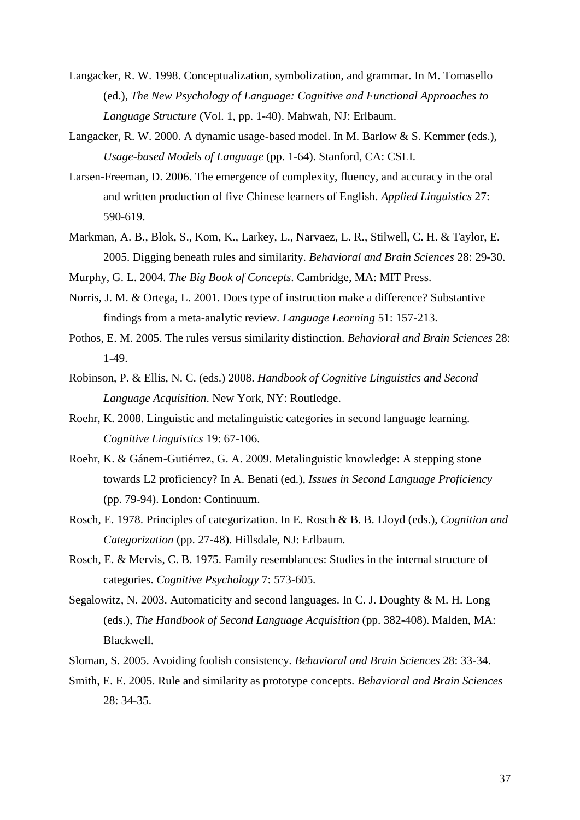- Langacker, R. W. 1998. Conceptualization, symbolization, and grammar. In M. Tomasello (ed.), *The New Psychology of Language: Cognitive and Functional Approaches to Language Structure* (Vol. 1, pp. 1-40). Mahwah, NJ: Erlbaum.
- Langacker, R. W. 2000. A dynamic usage-based model. In M. Barlow & S. Kemmer (eds.), *Usage-based Models of Language* (pp. 1-64). Stanford, CA: CSLI.
- Larsen-Freeman, D. 2006. The emergence of complexity, fluency, and accuracy in the oral and written production of five Chinese learners of English. *Applied Linguistics* 27: 590-619.
- Markman, A. B., Blok, S., Kom, K., Larkey, L., Narvaez, L. R., Stilwell, C. H. & Taylor, E. 2005. Digging beneath rules and similarity. *Behavioral and Brain Sciences* 28: 29-30.
- Murphy, G. L. 2004. *The Big Book of Concepts*. Cambridge, MA: MIT Press.
- Norris, J. M. & Ortega, L. 2001. Does type of instruction make a difference? Substantive findings from a meta-analytic review. *Language Learning* 51: 157-213.
- Pothos, E. M. 2005. The rules versus similarity distinction. *Behavioral and Brain Sciences* 28: 1-49.
- Robinson, P. & Ellis, N. C. (eds.) 2008. *Handbook of Cognitive Linguistics and Second Language Acquisition*. New York, NY: Routledge.
- Roehr, K. 2008. Linguistic and metalinguistic categories in second language learning. *Cognitive Linguistics* 19: 67-106.
- Roehr, K. & Gánem-Gutiérrez, G. A. 2009. Metalinguistic knowledge: A stepping stone towards L2 proficiency? In A. Benati (ed.), *Issues in Second Language Proficiency* (pp. 79-94). London: Continuum.
- Rosch, E. 1978. Principles of categorization. In E. Rosch & B. B. Lloyd (eds.), *Cognition and Categorization* (pp. 27-48). Hillsdale, NJ: Erlbaum.
- Rosch, E. & Mervis, C. B. 1975. Family resemblances: Studies in the internal structure of categories. *Cognitive Psychology* 7: 573-605.
- Segalowitz, N. 2003. Automaticity and second languages. In C. J. Doughty & M. H. Long (eds.), *The Handbook of Second Language Acquisition* (pp. 382-408). Malden, MA: Blackwell.
- Sloman, S. 2005. Avoiding foolish consistency. *Behavioral and Brain Sciences* 28: 33-34.
- Smith, E. E. 2005. Rule and similarity as prototype concepts. *Behavioral and Brain Sciences* 28: 34-35.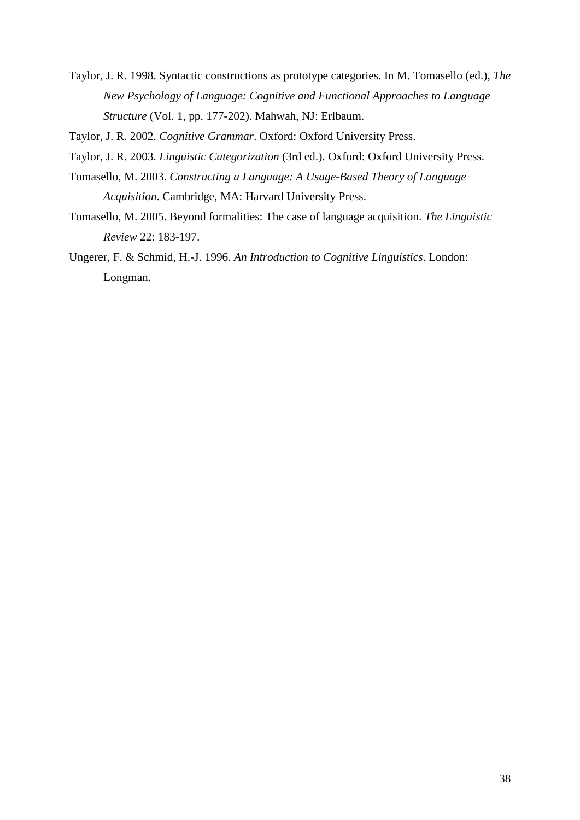Taylor, J. R. 1998. Syntactic constructions as prototype categories. In M. Tomasello (ed.), *The New Psychology of Language: Cognitive and Functional Approaches to Language Structure* (Vol. 1, pp. 177-202). Mahwah, NJ: Erlbaum.

Taylor, J. R. 2002. *Cognitive Grammar*. Oxford: Oxford University Press.

- Taylor, J. R. 2003. *Linguistic Categorization* (3rd ed.). Oxford: Oxford University Press.
- Tomasello, M. 2003. *Constructing a Language: A Usage-Based Theory of Language Acquisition*. Cambridge, MA: Harvard University Press.
- Tomasello, M. 2005. Beyond formalities: The case of language acquisition. *The Linguistic Review* 22: 183-197.
- Ungerer, F. & Schmid, H.-J. 1996. *An Introduction to Cognitive Linguistics*. London: Longman.